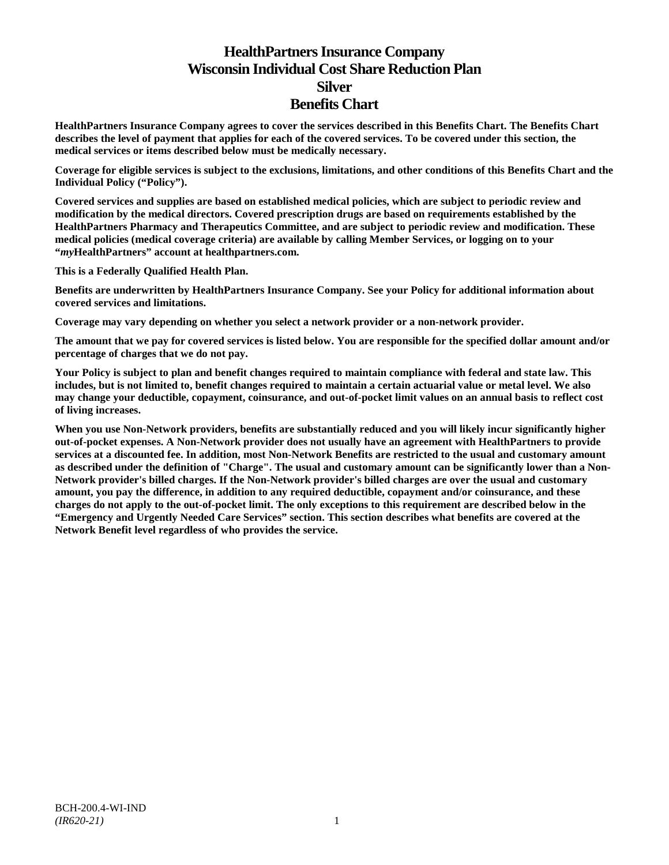# **HealthPartners Insurance Company Wisconsin Individual Cost Share Reduction Plan Silver Benefits Chart**

**HealthPartners Insurance Company agrees to cover the services described in this Benefits Chart. The Benefits Chart describes the level of payment that applies for each of the covered services. To be covered under this section, the medical services or items described below must be medically necessary.**

**Coverage for eligible services is subject to the exclusions, limitations, and other conditions of this Benefits Chart and the Individual Policy ("Policy").**

**Covered services and supplies are based on established medical policies, which are subject to periodic review and modification by the medical directors. Covered prescription drugs are based on requirements established by the HealthPartners Pharmacy and Therapeutics Committee, and are subject to periodic review and modification. These medical policies (medical coverage criteria) are available by calling Member Services, or logging on to your "***my***HealthPartners" account at [healthpartners.com.](http://www.healthpartners.com/)**

**This is a Federally Qualified Health Plan.**

**Benefits are underwritten by HealthPartners Insurance Company. See your Policy for additional information about covered services and limitations.**

**Coverage may vary depending on whether you select a network provider or a non-network provider.**

**The amount that we pay for covered services is listed below. You are responsible for the specified dollar amount and/or percentage of charges that we do not pay.**

**Your Policy is subject to plan and benefit changes required to maintain compliance with federal and state law. This includes, but is not limited to, benefit changes required to maintain a certain actuarial value or metal level. We also may change your deductible, copayment, coinsurance, and out-of-pocket limit values on an annual basis to reflect cost of living increases.**

**When you use Non-Network providers, benefits are substantially reduced and you will likely incur significantly higher out-of-pocket expenses. A Non-Network provider does not usually have an agreement with HealthPartners to provide services at a discounted fee. In addition, most Non-Network Benefits are restricted to the usual and customary amount as described under the definition of "Charge". The usual and customary amount can be significantly lower than a Non-Network provider's billed charges. If the Non-Network provider's billed charges are over the usual and customary amount, you pay the difference, in addition to any required deductible, copayment and/or coinsurance, and these charges do not apply to the out-of-pocket limit. The only exceptions to this requirement are described below in the "Emergency and Urgently Needed Care Services" section. This section describes what benefits are covered at the Network Benefit level regardless of who provides the service.**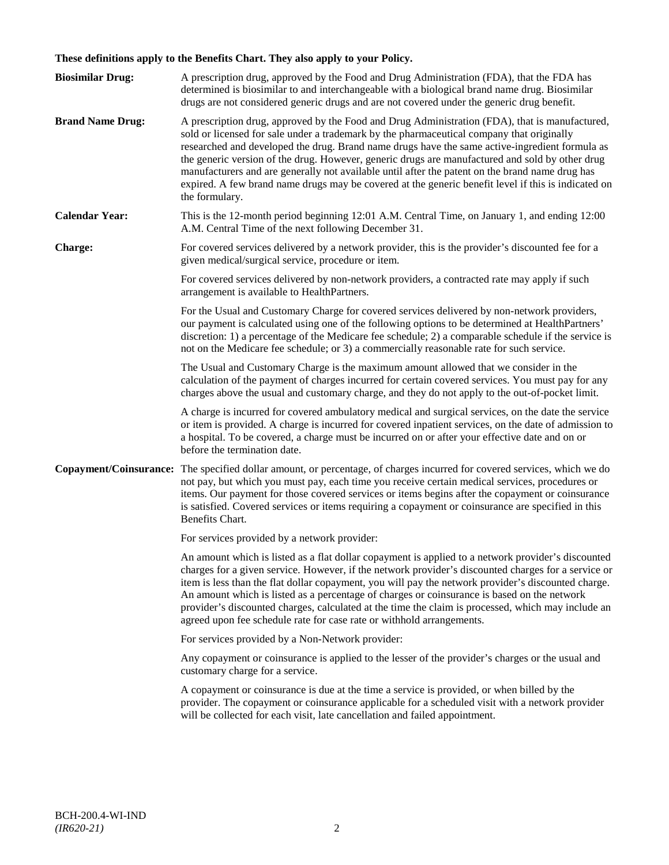# **These definitions apply to the Benefits Chart. They also apply to your Policy.**

| <b>Biosimilar Drug:</b> | A prescription drug, approved by the Food and Drug Administration (FDA), that the FDA has<br>determined is biosimilar to and interchangeable with a biological brand name drug. Biosimilar                                                                                                                                                                                                                                                                                                                                                                                                                                                                                                                                 |
|-------------------------|----------------------------------------------------------------------------------------------------------------------------------------------------------------------------------------------------------------------------------------------------------------------------------------------------------------------------------------------------------------------------------------------------------------------------------------------------------------------------------------------------------------------------------------------------------------------------------------------------------------------------------------------------------------------------------------------------------------------------|
| <b>Brand Name Drug:</b> | drugs are not considered generic drugs and are not covered under the generic drug benefit.<br>A prescription drug, approved by the Food and Drug Administration (FDA), that is manufactured,<br>sold or licensed for sale under a trademark by the pharmaceutical company that originally<br>researched and developed the drug. Brand name drugs have the same active-ingredient formula as<br>the generic version of the drug. However, generic drugs are manufactured and sold by other drug<br>manufacturers and are generally not available until after the patent on the brand name drug has<br>expired. A few brand name drugs may be covered at the generic benefit level if this is indicated on<br>the formulary. |
| <b>Calendar Year:</b>   | This is the 12-month period beginning 12:01 A.M. Central Time, on January 1, and ending 12:00<br>A.M. Central Time of the next following December 31.                                                                                                                                                                                                                                                                                                                                                                                                                                                                                                                                                                      |
| Charge:                 | For covered services delivered by a network provider, this is the provider's discounted fee for a<br>given medical/surgical service, procedure or item.                                                                                                                                                                                                                                                                                                                                                                                                                                                                                                                                                                    |
|                         | For covered services delivered by non-network providers, a contracted rate may apply if such<br>arrangement is available to HealthPartners.                                                                                                                                                                                                                                                                                                                                                                                                                                                                                                                                                                                |
|                         | For the Usual and Customary Charge for covered services delivered by non-network providers,<br>our payment is calculated using one of the following options to be determined at HealthPartners'<br>discretion: 1) a percentage of the Medicare fee schedule; 2) a comparable schedule if the service is<br>not on the Medicare fee schedule; or 3) a commercially reasonable rate for such service.                                                                                                                                                                                                                                                                                                                        |
|                         | The Usual and Customary Charge is the maximum amount allowed that we consider in the<br>calculation of the payment of charges incurred for certain covered services. You must pay for any<br>charges above the usual and customary charge, and they do not apply to the out-of-pocket limit.                                                                                                                                                                                                                                                                                                                                                                                                                               |
|                         | A charge is incurred for covered ambulatory medical and surgical services, on the date the service<br>or item is provided. A charge is incurred for covered inpatient services, on the date of admission to<br>a hospital. To be covered, a charge must be incurred on or after your effective date and on or<br>before the termination date.                                                                                                                                                                                                                                                                                                                                                                              |
| Copayment/Coinsurance:  | The specified dollar amount, or percentage, of charges incurred for covered services, which we do<br>not pay, but which you must pay, each time you receive certain medical services, procedures or<br>items. Our payment for those covered services or items begins after the copayment or coinsurance<br>is satisfied. Covered services or items requiring a copayment or coinsurance are specified in this<br>Benefits Chart.                                                                                                                                                                                                                                                                                           |
|                         | For services provided by a network provider:                                                                                                                                                                                                                                                                                                                                                                                                                                                                                                                                                                                                                                                                               |
|                         | An amount which is listed as a flat dollar copayment is applied to a network provider's discounted<br>charges for a given service. However, if the network provider's discounted charges for a service or<br>item is less than the flat dollar copayment, you will pay the network provider's discounted charge.<br>An amount which is listed as a percentage of charges or coinsurance is based on the network<br>provider's discounted charges, calculated at the time the claim is processed, which may include an<br>agreed upon fee schedule rate for case rate or withhold arrangements.                                                                                                                             |
|                         | For services provided by a Non-Network provider:                                                                                                                                                                                                                                                                                                                                                                                                                                                                                                                                                                                                                                                                           |
|                         | Any copayment or coinsurance is applied to the lesser of the provider's charges or the usual and<br>customary charge for a service.                                                                                                                                                                                                                                                                                                                                                                                                                                                                                                                                                                                        |
|                         | A copayment or coinsurance is due at the time a service is provided, or when billed by the<br>provider. The copayment or coinsurance applicable for a scheduled visit with a network provider<br>will be collected for each visit, late cancellation and failed appointment.                                                                                                                                                                                                                                                                                                                                                                                                                                               |
|                         |                                                                                                                                                                                                                                                                                                                                                                                                                                                                                                                                                                                                                                                                                                                            |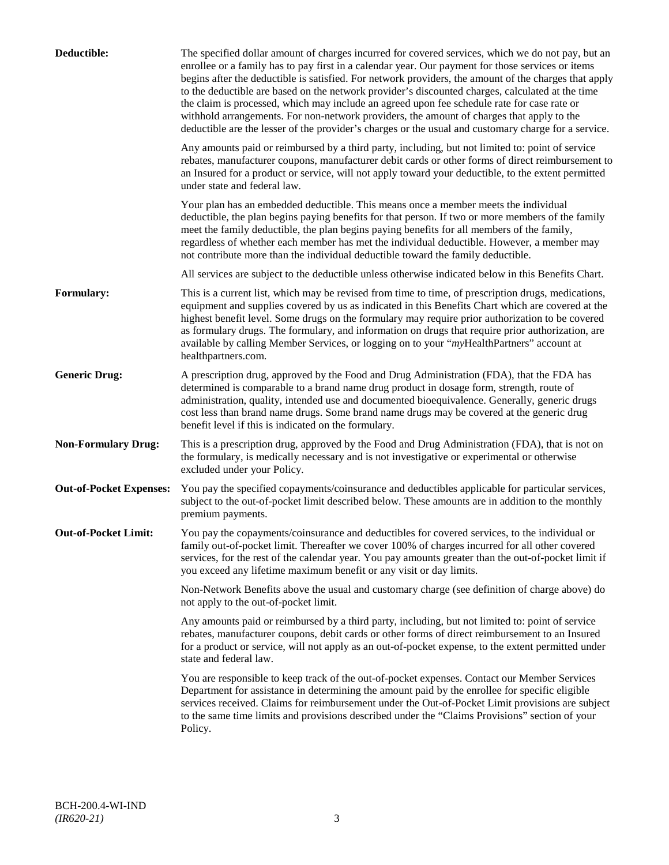| Deductible:                    | The specified dollar amount of charges incurred for covered services, which we do not pay, but an<br>enrollee or a family has to pay first in a calendar year. Our payment for those services or items<br>begins after the deductible is satisfied. For network providers, the amount of the charges that apply<br>to the deductible are based on the network provider's discounted charges, calculated at the time<br>the claim is processed, which may include an agreed upon fee schedule rate for case rate or<br>withhold arrangements. For non-network providers, the amount of charges that apply to the<br>deductible are the lesser of the provider's charges or the usual and customary charge for a service. |
|--------------------------------|-------------------------------------------------------------------------------------------------------------------------------------------------------------------------------------------------------------------------------------------------------------------------------------------------------------------------------------------------------------------------------------------------------------------------------------------------------------------------------------------------------------------------------------------------------------------------------------------------------------------------------------------------------------------------------------------------------------------------|
|                                | Any amounts paid or reimbursed by a third party, including, but not limited to: point of service<br>rebates, manufacturer coupons, manufacturer debit cards or other forms of direct reimbursement to<br>an Insured for a product or service, will not apply toward your deductible, to the extent permitted<br>under state and federal law.                                                                                                                                                                                                                                                                                                                                                                            |
|                                | Your plan has an embedded deductible. This means once a member meets the individual<br>deductible, the plan begins paying benefits for that person. If two or more members of the family<br>meet the family deductible, the plan begins paying benefits for all members of the family,<br>regardless of whether each member has met the individual deductible. However, a member may<br>not contribute more than the individual deductible toward the family deductible.                                                                                                                                                                                                                                                |
|                                | All services are subject to the deductible unless otherwise indicated below in this Benefits Chart.                                                                                                                                                                                                                                                                                                                                                                                                                                                                                                                                                                                                                     |
| Formulary:                     | This is a current list, which may be revised from time to time, of prescription drugs, medications,<br>equipment and supplies covered by us as indicated in this Benefits Chart which are covered at the<br>highest benefit level. Some drugs on the formulary may require prior authorization to be covered<br>as formulary drugs. The formulary, and information on drugs that require prior authorization, are<br>available by calling Member Services, or logging on to your "myHealthPartners" account at<br>healthpartners.com.                                                                                                                                                                                   |
| <b>Generic Drug:</b>           | A prescription drug, approved by the Food and Drug Administration (FDA), that the FDA has<br>determined is comparable to a brand name drug product in dosage form, strength, route of<br>administration, quality, intended use and documented bioequivalence. Generally, generic drugs<br>cost less than brand name drugs. Some brand name drugs may be covered at the generic drug<br>benefit level if this is indicated on the formulary.                                                                                                                                                                                                                                                                             |
| <b>Non-Formulary Drug:</b>     | This is a prescription drug, approved by the Food and Drug Administration (FDA), that is not on<br>the formulary, is medically necessary and is not investigative or experimental or otherwise<br>excluded under your Policy.                                                                                                                                                                                                                                                                                                                                                                                                                                                                                           |
| <b>Out-of-Pocket Expenses:</b> | You pay the specified copayments/coinsurance and deductibles applicable for particular services,<br>subject to the out-of-pocket limit described below. These amounts are in addition to the monthly<br>premium payments.                                                                                                                                                                                                                                                                                                                                                                                                                                                                                               |
| <b>Out-of-Pocket Limit:</b>    | You pay the copayments/coinsurance and deductibles for covered services, to the individual or<br>family out-of-pocket limit. Thereafter we cover 100% of charges incurred for all other covered<br>services, for the rest of the calendar year. You pay amounts greater than the out-of-pocket limit if<br>you exceed any lifetime maximum benefit or any visit or day limits.                                                                                                                                                                                                                                                                                                                                          |
|                                | Non-Network Benefits above the usual and customary charge (see definition of charge above) do<br>not apply to the out-of-pocket limit.                                                                                                                                                                                                                                                                                                                                                                                                                                                                                                                                                                                  |
|                                | Any amounts paid or reimbursed by a third party, including, but not limited to: point of service<br>rebates, manufacturer coupons, debit cards or other forms of direct reimbursement to an Insured<br>for a product or service, will not apply as an out-of-pocket expense, to the extent permitted under<br>state and federal law.                                                                                                                                                                                                                                                                                                                                                                                    |
|                                | You are responsible to keep track of the out-of-pocket expenses. Contact our Member Services<br>Department for assistance in determining the amount paid by the enrollee for specific eligible<br>services received. Claims for reimbursement under the Out-of-Pocket Limit provisions are subject<br>to the same time limits and provisions described under the "Claims Provisions" section of your<br>Policy.                                                                                                                                                                                                                                                                                                         |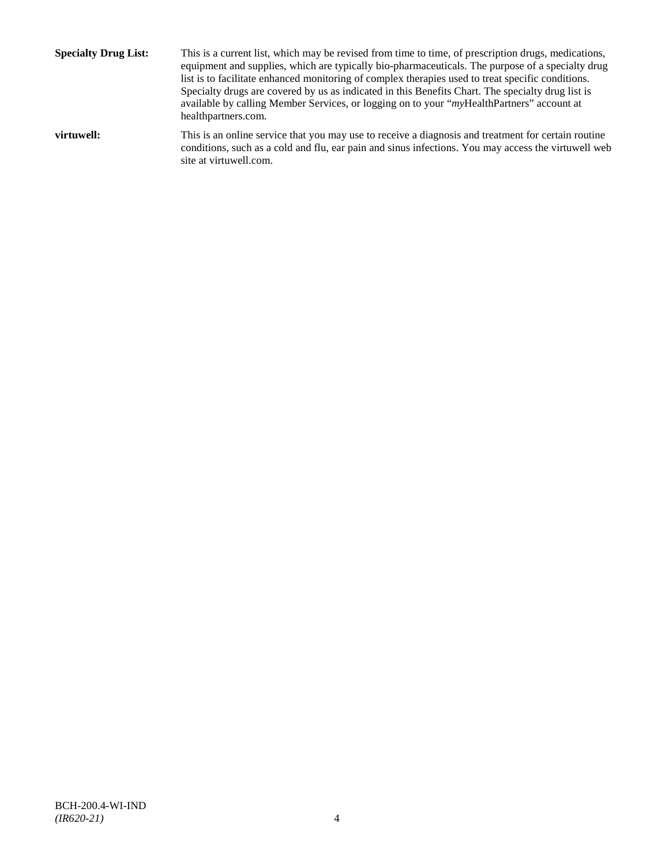**Specialty Drug List:** This is a current list, which may be revised from time to time, of prescription drugs, medications, equipment and supplies, which are typically bio-pharmaceuticals. The purpose of a specialty drug list is to facilitate enhanced monitoring of complex therapies used to treat specific conditions. Specialty drugs are covered by us as indicated in this Benefits Chart. The specialty drug list is available by calling Member Services, or logging on to your "*my*HealthPartners" account at [healthpartners.com.](http://www.healthpartners.com/) **virtuwell:** This is an online service that you may use to receive a diagnosis and treatment for certain routine conditions, such as a cold and flu, ear pain and sinus infections. You may access the virtuwell web

site a[t virtuwell.com.](http://www.virtuwell.com/)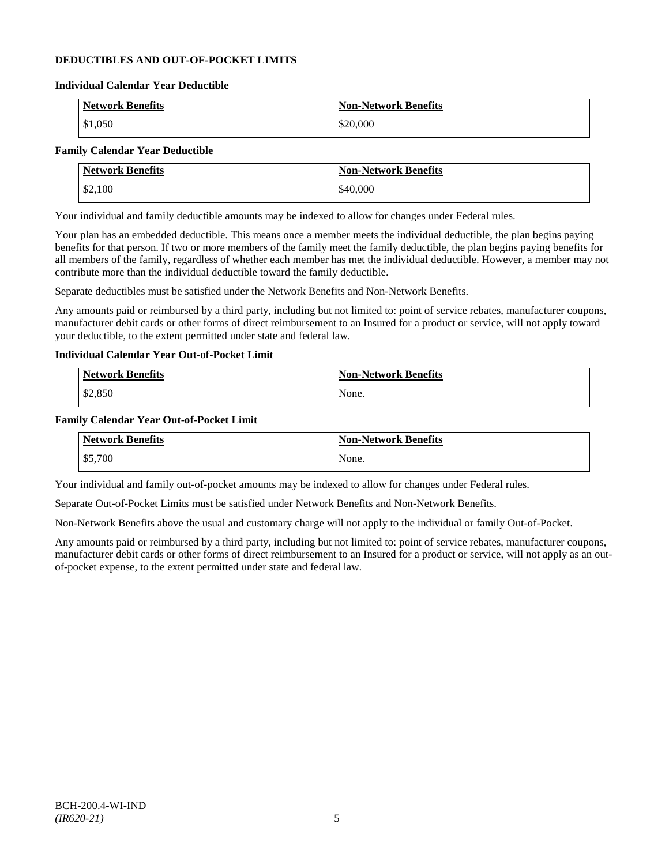# **DEDUCTIBLES AND OUT-OF-POCKET LIMITS**

### **Individual Calendar Year Deductible**

| <b>Network Benefits</b> | <b>Non-Network Benefits</b> |
|-------------------------|-----------------------------|
| \$1,050                 | \$20,000                    |

# **Family Calendar Year Deductible**

| <b>Network Benefits</b> | <b>Non-Network Benefits</b> |
|-------------------------|-----------------------------|
| \$2,100                 | \$40,000                    |

Your individual and family deductible amounts may be indexed to allow for changes under Federal rules.

Your plan has an embedded deductible. This means once a member meets the individual deductible, the plan begins paying benefits for that person. If two or more members of the family meet the family deductible, the plan begins paying benefits for all members of the family, regardless of whether each member has met the individual deductible. However, a member may not contribute more than the individual deductible toward the family deductible.

Separate deductibles must be satisfied under the Network Benefits and Non-Network Benefits.

Any amounts paid or reimbursed by a third party, including but not limited to: point of service rebates, manufacturer coupons, manufacturer debit cards or other forms of direct reimbursement to an Insured for a product or service, will not apply toward your deductible, to the extent permitted under state and federal law.

# **Individual Calendar Year Out-of-Pocket Limit**

| Network Benefits | <b>Non-Network Benefits</b> |
|------------------|-----------------------------|
| \$2,850          | None.                       |

### **Family Calendar Year Out-of-Pocket Limit**

| <b>Network Benefits</b> | <b>Non-Network Benefits</b> |
|-------------------------|-----------------------------|
| \$5,700                 | None.                       |

Your individual and family out-of-pocket amounts may be indexed to allow for changes under Federal rules.

Separate Out-of-Pocket Limits must be satisfied under Network Benefits and Non-Network Benefits.

Non-Network Benefits above the usual and customary charge will not apply to the individual or family Out-of-Pocket.

Any amounts paid or reimbursed by a third party, including but not limited to: point of service rebates, manufacturer coupons, manufacturer debit cards or other forms of direct reimbursement to an Insured for a product or service, will not apply as an outof-pocket expense, to the extent permitted under state and federal law.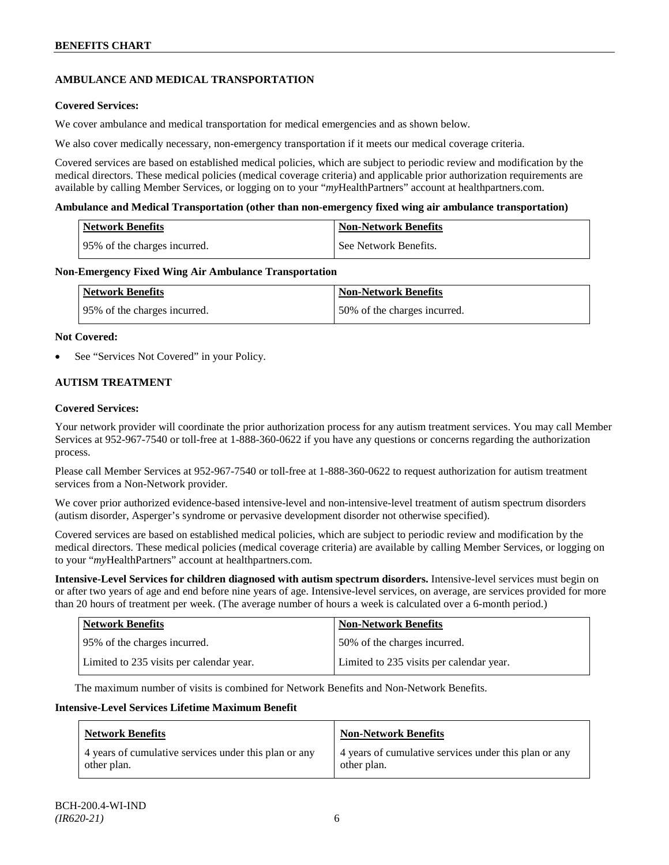# **AMBULANCE AND MEDICAL TRANSPORTATION**

# **Covered Services:**

We cover ambulance and medical transportation for medical emergencies and as shown below.

We also cover medically necessary, non-emergency transportation if it meets our medical coverage criteria.

Covered services are based on established medical policies, which are subject to periodic review and modification by the medical directors. These medical policies (medical coverage criteria) and applicable prior authorization requirements are available by calling Member Services, or logging on to your "*my*HealthPartners" account a[t healthpartners.com.](http://www.healthpartners.com/)

### **Ambulance and Medical Transportation (other than non-emergency fixed wing air ambulance transportation)**

| Network Benefits              | Non-Network Benefits  |
|-------------------------------|-----------------------|
| 195% of the charges incurred. | See Network Benefits. |

### **Non-Emergency Fixed Wing Air Ambulance Transportation**

| <b>Network Benefits</b>      | <b>Non-Network Benefits</b>  |
|------------------------------|------------------------------|
| 95% of the charges incurred. | 50% of the charges incurred. |

### **Not Covered:**

See "Services Not Covered" in your Policy.

# **AUTISM TREATMENT**

### **Covered Services:**

Your network provider will coordinate the prior authorization process for any autism treatment services. You may call Member Services at 952-967-7540 or toll-free at 1-888-360-0622 if you have any questions or concerns regarding the authorization process.

Please call Member Services at 952-967-7540 or toll-free at 1-888-360-0622 to request authorization for autism treatment services from a Non-Network provider.

We cover prior authorized evidence-based intensive-level and non-intensive-level treatment of autism spectrum disorders (autism disorder, Asperger's syndrome or pervasive development disorder not otherwise specified).

Covered services are based on established medical policies, which are subject to periodic review and modification by the medical directors. These medical policies (medical coverage criteria) are available by calling Member Services, or logging on to your "*my*HealthPartners" account at [healthpartners.com.](http://www.healthpartners.com/)

**Intensive-Level Services for children diagnosed with autism spectrum disorders.** Intensive-level services must begin on or after two years of age and end before nine years of age. Intensive-level services, on average, are services provided for more than 20 hours of treatment per week. (The average number of hours a week is calculated over a 6-month period.)

| <b>Network Benefits</b>                  | <b>Non-Network Benefits</b>              |
|------------------------------------------|------------------------------------------|
| 95% of the charges incurred.             | 50% of the charges incurred.             |
| Limited to 235 visits per calendar year. | Limited to 235 visits per calendar year. |

The maximum number of visits is combined for Network Benefits and Non-Network Benefits.

### **Intensive-Level Services Lifetime Maximum Benefit**

| <b>Network Benefits</b>                               | <b>Non-Network Benefits</b>                           |
|-------------------------------------------------------|-------------------------------------------------------|
| 4 years of cumulative services under this plan or any | 4 years of cumulative services under this plan or any |
| other plan.                                           | other plan.                                           |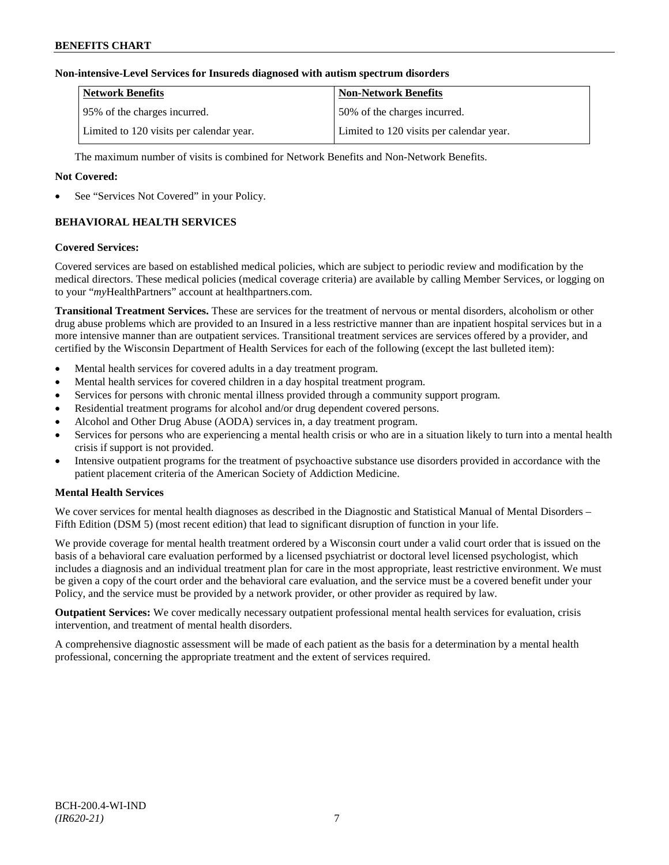# **Non-intensive-Level Services for Insureds diagnosed with autism spectrum disorders**

| <b>Network Benefits</b>                  | <b>Non-Network Benefits</b>              |
|------------------------------------------|------------------------------------------|
| 195% of the charges incurred.            | 150% of the charges incurred.            |
| Limited to 120 visits per calendar year. | Limited to 120 visits per calendar year. |

The maximum number of visits is combined for Network Benefits and Non-Network Benefits.

# **Not Covered:**

See "Services Not Covered" in your Policy.

# **BEHAVIORAL HEALTH SERVICES**

### **Covered Services:**

Covered services are based on established medical policies, which are subject to periodic review and modification by the medical directors. These medical policies (medical coverage criteria) are available by calling Member Services, or logging on to your "*my*HealthPartners" account at [healthpartners.com.](http://www.healthpartners.com/)

**Transitional Treatment Services.** These are services for the treatment of nervous or mental disorders, alcoholism or other drug abuse problems which are provided to an Insured in a less restrictive manner than are inpatient hospital services but in a more intensive manner than are outpatient services. Transitional treatment services are services offered by a provider, and certified by the Wisconsin Department of Health Services for each of the following (except the last bulleted item):

- Mental health services for covered adults in a day treatment program.
- Mental health services for covered children in a day hospital treatment program.
- Services for persons with chronic mental illness provided through a community support program.
- Residential treatment programs for alcohol and/or drug dependent covered persons.
- Alcohol and Other Drug Abuse (AODA) services in, a day treatment program.
- Services for persons who are experiencing a mental health crisis or who are in a situation likely to turn into a mental health crisis if support is not provided.
- Intensive outpatient programs for the treatment of psychoactive substance use disorders provided in accordance with the patient placement criteria of the American Society of Addiction Medicine.

# **Mental Health Services**

We cover services for mental health diagnoses as described in the Diagnostic and Statistical Manual of Mental Disorders – Fifth Edition (DSM 5) (most recent edition) that lead to significant disruption of function in your life.

We provide coverage for mental health treatment ordered by a Wisconsin court under a valid court order that is issued on the basis of a behavioral care evaluation performed by a licensed psychiatrist or doctoral level licensed psychologist, which includes a diagnosis and an individual treatment plan for care in the most appropriate, least restrictive environment. We must be given a copy of the court order and the behavioral care evaluation, and the service must be a covered benefit under your Policy, and the service must be provided by a network provider, or other provider as required by law.

**Outpatient Services:** We cover medically necessary outpatient professional mental health services for evaluation, crisis intervention, and treatment of mental health disorders.

A comprehensive diagnostic assessment will be made of each patient as the basis for a determination by a mental health professional, concerning the appropriate treatment and the extent of services required.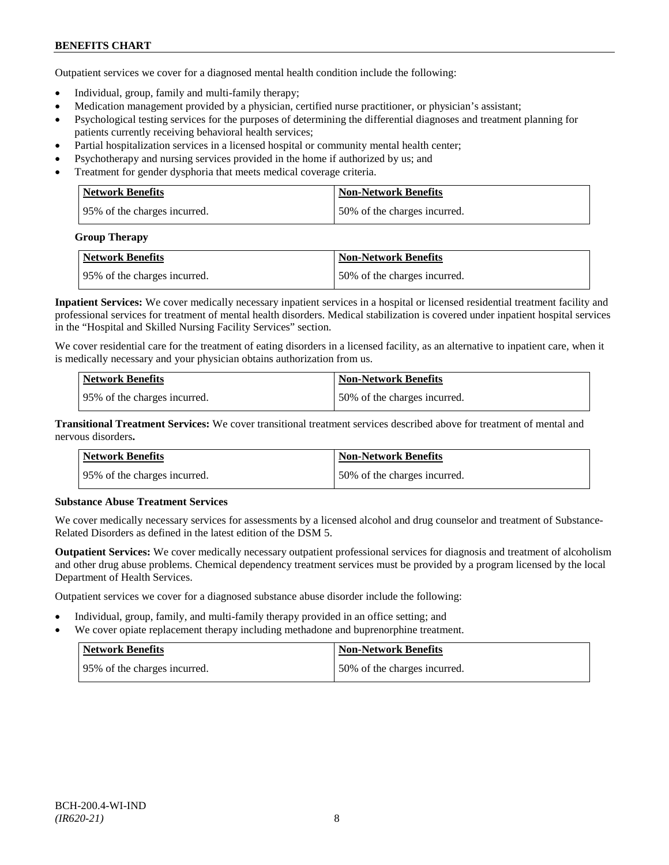Outpatient services we cover for a diagnosed mental health condition include the following:

- Individual, group, family and multi-family therapy;
- Medication management provided by a physician, certified nurse practitioner, or physician's assistant;
- Psychological testing services for the purposes of determining the differential diagnoses and treatment planning for patients currently receiving behavioral health services;
- Partial hospitalization services in a licensed hospital or community mental health center;
- Psychotherapy and nursing services provided in the home if authorized by us; and
- Treatment for gender dysphoria that meets medical coverage criteria.

| <b>Network Benefits</b>       | <b>Non-Network Benefits</b>  |
|-------------------------------|------------------------------|
| 195% of the charges incurred. | 50% of the charges incurred. |

### **Group Therapy**

| <b>Network Benefits</b>       | <b>Non-Network Benefits</b>  |
|-------------------------------|------------------------------|
| 195% of the charges incurred. | 50% of the charges incurred. |

**Inpatient Services:** We cover medically necessary inpatient services in a hospital or licensed residential treatment facility and professional services for treatment of mental health disorders. Medical stabilization is covered under inpatient hospital services in the "Hospital and Skilled Nursing Facility Services" section.

We cover residential care for the treatment of eating disorders in a licensed facility, as an alternative to inpatient care, when it is medically necessary and your physician obtains authorization from us.

| <b>Network Benefits</b>      | <b>Non-Network Benefits</b>  |
|------------------------------|------------------------------|
| 95% of the charges incurred. | 50% of the charges incurred. |

**Transitional Treatment Services:** We cover transitional treatment services described above for treatment of mental and nervous disorders**.**

| <b>Network Benefits</b>      | Non-Network Benefits          |
|------------------------------|-------------------------------|
| 95% of the charges incurred. | 150% of the charges incurred. |

# **Substance Abuse Treatment Services**

We cover medically necessary services for assessments by a licensed alcohol and drug counselor and treatment of Substance-Related Disorders as defined in the latest edition of the DSM 5.

**Outpatient Services:** We cover medically necessary outpatient professional services for diagnosis and treatment of alcoholism and other drug abuse problems. Chemical dependency treatment services must be provided by a program licensed by the local Department of Health Services.

Outpatient services we cover for a diagnosed substance abuse disorder include the following:

- Individual, group, family, and multi-family therapy provided in an office setting; and
- We cover opiate replacement therapy including methadone and buprenorphine treatment.

| <b>Network Benefits</b>       | <b>Non-Network Benefits</b>  |
|-------------------------------|------------------------------|
| 195% of the charges incurred. | 50% of the charges incurred. |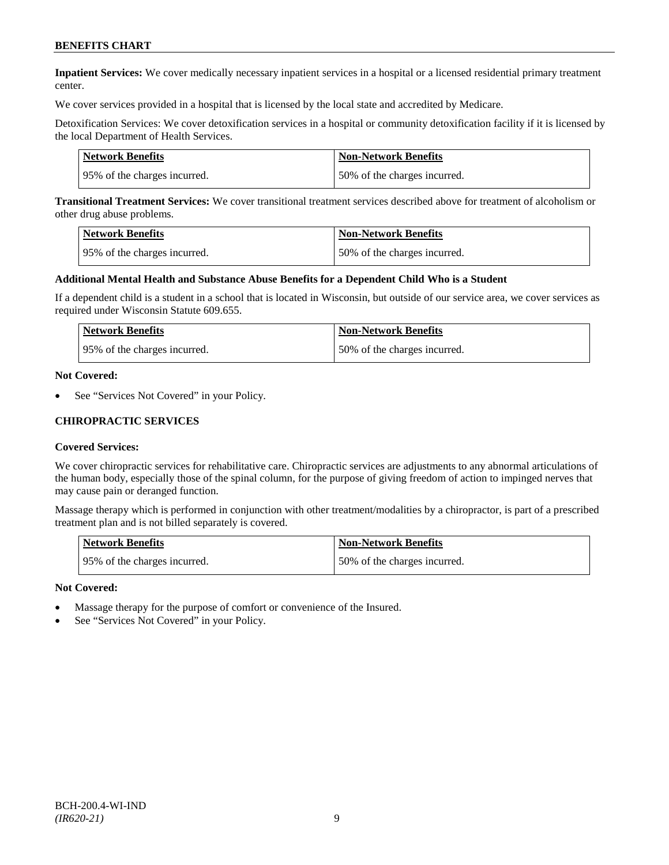**Inpatient Services:** We cover medically necessary inpatient services in a hospital or a licensed residential primary treatment center.

We cover services provided in a hospital that is licensed by the local state and accredited by Medicare.

Detoxification Services: We cover detoxification services in a hospital or community detoxification facility if it is licensed by the local Department of Health Services.

| Network Benefits             | <b>Non-Network Benefits</b>  |
|------------------------------|------------------------------|
| 95% of the charges incurred. | 50% of the charges incurred. |

**Transitional Treatment Services:** We cover transitional treatment services described above for treatment of alcoholism or other drug abuse problems.

| <b>Network Benefits</b>      | <b>Non-Network Benefits</b>  |
|------------------------------|------------------------------|
| 95% of the charges incurred. | 50% of the charges incurred. |

### **Additional Mental Health and Substance Abuse Benefits for a Dependent Child Who is a Student**

If a dependent child is a student in a school that is located in Wisconsin, but outside of our service area, we cover services as required under Wisconsin Statute 609.655.

| <b>Network Benefits</b>       | <b>Non-Network Benefits</b>  |
|-------------------------------|------------------------------|
| 195% of the charges incurred. | 50% of the charges incurred. |

#### **Not Covered:**

See "Services Not Covered" in your Policy.

### **CHIROPRACTIC SERVICES**

### **Covered Services:**

We cover chiropractic services for rehabilitative care. Chiropractic services are adjustments to any abnormal articulations of the human body, especially those of the spinal column, for the purpose of giving freedom of action to impinged nerves that may cause pain or deranged function.

Massage therapy which is performed in conjunction with other treatment/modalities by a chiropractor, is part of a prescribed treatment plan and is not billed separately is covered.

| <b>Network Benefits</b>      | <b>Non-Network Benefits</b>  |
|------------------------------|------------------------------|
| 95% of the charges incurred. | 50% of the charges incurred. |

- Massage therapy for the purpose of comfort or convenience of the Insured.
- See "Services Not Covered" in your Policy.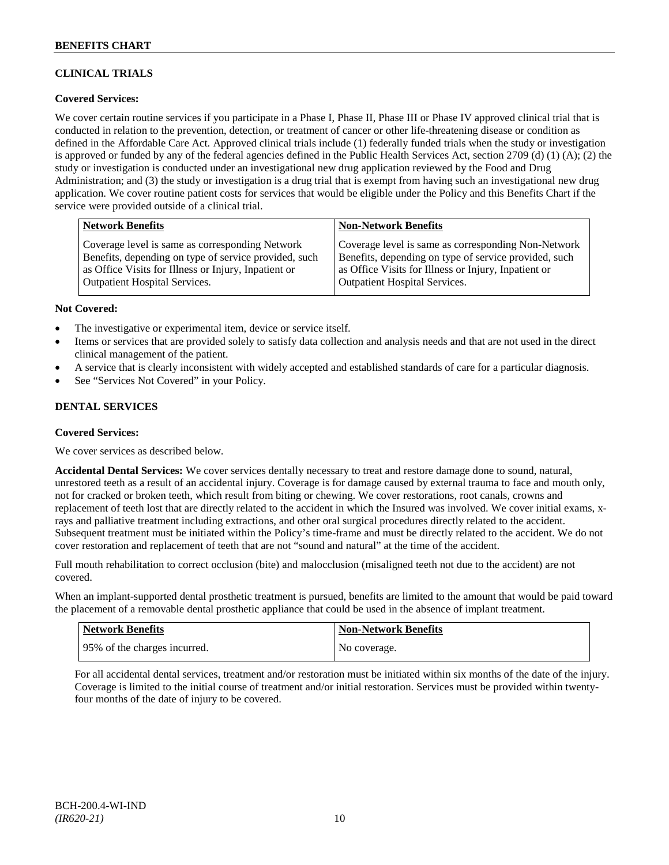# **CLINICAL TRIALS**

# **Covered Services:**

We cover certain routine services if you participate in a Phase I, Phase II, Phase III or Phase IV approved clinical trial that is conducted in relation to the prevention, detection, or treatment of cancer or other life-threatening disease or condition as defined in the Affordable Care Act. Approved clinical trials include (1) federally funded trials when the study or investigation is approved or funded by any of the federal agencies defined in the Public Health Services Act, section 2709 (d) (1) (A); (2) the study or investigation is conducted under an investigational new drug application reviewed by the Food and Drug Administration; and (3) the study or investigation is a drug trial that is exempt from having such an investigational new drug application. We cover routine patient costs for services that would be eligible under the Policy and this Benefits Chart if the service were provided outside of a clinical trial.

| <b>Network Benefits</b>                               | <b>Non-Network Benefits</b>                           |
|-------------------------------------------------------|-------------------------------------------------------|
| Coverage level is same as corresponding Network       | Coverage level is same as corresponding Non-Network   |
| Benefits, depending on type of service provided, such | Benefits, depending on type of service provided, such |
| as Office Visits for Illness or Injury, Inpatient or  | as Office Visits for Illness or Injury, Inpatient or  |
| <b>Outpatient Hospital Services.</b>                  | <b>Outpatient Hospital Services.</b>                  |

### **Not Covered:**

- The investigative or experimental item, device or service itself.
- Items or services that are provided solely to satisfy data collection and analysis needs and that are not used in the direct clinical management of the patient.
- A service that is clearly inconsistent with widely accepted and established standards of care for a particular diagnosis.
- See "Services Not Covered" in your Policy.

# **DENTAL SERVICES**

### **Covered Services:**

We cover services as described below.

**Accidental Dental Services:** We cover services dentally necessary to treat and restore damage done to sound, natural, unrestored teeth as a result of an accidental injury. Coverage is for damage caused by external trauma to face and mouth only, not for cracked or broken teeth, which result from biting or chewing. We cover restorations, root canals, crowns and replacement of teeth lost that are directly related to the accident in which the Insured was involved. We cover initial exams, xrays and palliative treatment including extractions, and other oral surgical procedures directly related to the accident. Subsequent treatment must be initiated within the Policy's time-frame and must be directly related to the accident. We do not cover restoration and replacement of teeth that are not "sound and natural" at the time of the accident.

Full mouth rehabilitation to correct occlusion (bite) and malocclusion (misaligned teeth not due to the accident) are not covered.

When an implant-supported dental prosthetic treatment is pursued, benefits are limited to the amount that would be paid toward the placement of a removable dental prosthetic appliance that could be used in the absence of implant treatment.

| Network Benefits             | <b>Non-Network Benefits</b> |
|------------------------------|-----------------------------|
| 95% of the charges incurred. | No coverage.                |

For all accidental dental services, treatment and/or restoration must be initiated within six months of the date of the injury. Coverage is limited to the initial course of treatment and/or initial restoration. Services must be provided within twentyfour months of the date of injury to be covered.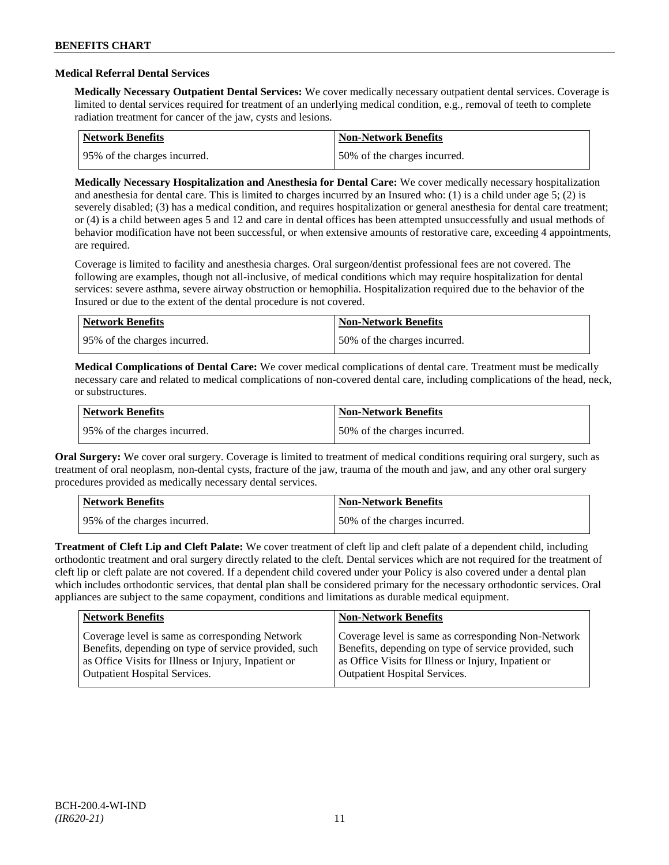### **Medical Referral Dental Services**

**Medically Necessary Outpatient Dental Services:** We cover medically necessary outpatient dental services. Coverage is limited to dental services required for treatment of an underlying medical condition, e.g., removal of teeth to complete radiation treatment for cancer of the jaw, cysts and lesions.

| <b>Network Benefits</b>      | Non-Network Benefits         |
|------------------------------|------------------------------|
| 95% of the charges incurred. | 50% of the charges incurred. |

**Medically Necessary Hospitalization and Anesthesia for Dental Care:** We cover medically necessary hospitalization and anesthesia for dental care. This is limited to charges incurred by an Insured who: (1) is a child under age 5; (2) is severely disabled; (3) has a medical condition, and requires hospitalization or general anesthesia for dental care treatment; or (4) is a child between ages 5 and 12 and care in dental offices has been attempted unsuccessfully and usual methods of behavior modification have not been successful, or when extensive amounts of restorative care, exceeding 4 appointments, are required.

Coverage is limited to facility and anesthesia charges. Oral surgeon/dentist professional fees are not covered. The following are examples, though not all-inclusive, of medical conditions which may require hospitalization for dental services: severe asthma, severe airway obstruction or hemophilia. Hospitalization required due to the behavior of the Insured or due to the extent of the dental procedure is not covered.

| Network Benefits              | <b>Non-Network Benefits</b>  |
|-------------------------------|------------------------------|
| 195% of the charges incurred. | 50% of the charges incurred. |

**Medical Complications of Dental Care:** We cover medical complications of dental care. Treatment must be medically necessary care and related to medical complications of non-covered dental care, including complications of the head, neck, or substructures.

| Network Benefits             | <b>Non-Network Benefits</b>  |
|------------------------------|------------------------------|
| 95% of the charges incurred. | 50% of the charges incurred. |

**Oral Surgery:** We cover oral surgery. Coverage is limited to treatment of medical conditions requiring oral surgery, such as treatment of oral neoplasm, non-dental cysts, fracture of the jaw, trauma of the mouth and jaw, and any other oral surgery procedures provided as medically necessary dental services.

| Network Benefits              | <b>Non-Network Benefits</b>  |
|-------------------------------|------------------------------|
| 195% of the charges incurred. | 50% of the charges incurred. |

**Treatment of Cleft Lip and Cleft Palate:** We cover treatment of cleft lip and cleft palate of a dependent child, including orthodontic treatment and oral surgery directly related to the cleft. Dental services which are not required for the treatment of cleft lip or cleft palate are not covered. If a dependent child covered under your Policy is also covered under a dental plan which includes orthodontic services, that dental plan shall be considered primary for the necessary orthodontic services. Oral appliances are subject to the same copayment, conditions and limitations as durable medical equipment.

| <b>Network Benefits</b>                               | <b>Non-Network Benefits</b>                           |
|-------------------------------------------------------|-------------------------------------------------------|
| Coverage level is same as corresponding Network       | Coverage level is same as corresponding Non-Network   |
| Benefits, depending on type of service provided, such | Benefits, depending on type of service provided, such |
| as Office Visits for Illness or Injury, Inpatient or  | as Office Visits for Illness or Injury, Inpatient or  |
| <b>Outpatient Hospital Services.</b>                  | <b>Outpatient Hospital Services.</b>                  |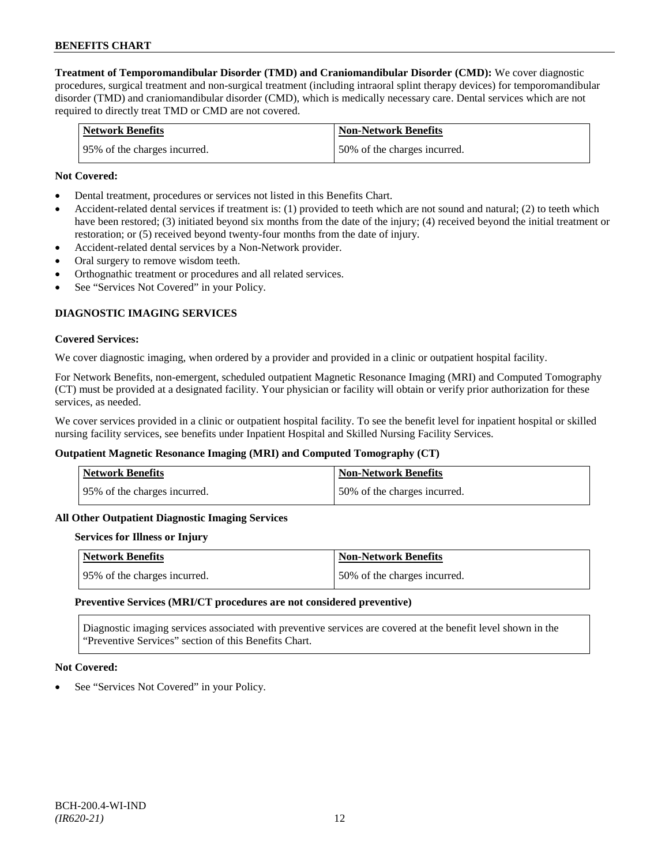**Treatment of Temporomandibular Disorder (TMD) and Craniomandibular Disorder (CMD):** We cover diagnostic procedures, surgical treatment and non-surgical treatment (including intraoral splint therapy devices) for temporomandibular disorder (TMD) and craniomandibular disorder (CMD), which is medically necessary care. Dental services which are not required to directly treat TMD or CMD are not covered.

| <b>Network Benefits</b>      | <b>Non-Network Benefits</b>  |
|------------------------------|------------------------------|
| 95% of the charges incurred. | 50% of the charges incurred. |

### **Not Covered:**

- Dental treatment, procedures or services not listed in this Benefits Chart.
- Accident-related dental services if treatment is: (1) provided to teeth which are not sound and natural; (2) to teeth which have been restored; (3) initiated beyond six months from the date of the injury; (4) received beyond the initial treatment or restoration; or (5) received beyond twenty-four months from the date of injury.
- Accident-related dental services by a Non-Network provider.
- Oral surgery to remove wisdom teeth.
- Orthognathic treatment or procedures and all related services.
- See "Services Not Covered" in your Policy.

# **DIAGNOSTIC IMAGING SERVICES**

### **Covered Services:**

We cover diagnostic imaging, when ordered by a provider and provided in a clinic or outpatient hospital facility.

For Network Benefits, non-emergent, scheduled outpatient Magnetic Resonance Imaging (MRI) and Computed Tomography (CT) must be provided at a designated facility. Your physician or facility will obtain or verify prior authorization for these services, as needed.

We cover services provided in a clinic or outpatient hospital facility. To see the benefit level for inpatient hospital or skilled nursing facility services, see benefits under Inpatient Hospital and Skilled Nursing Facility Services.

### **Outpatient Magnetic Resonance Imaging (MRI) and Computed Tomography (CT)**

| <b>Network Benefits</b>       | <b>Non-Network Benefits</b>  |
|-------------------------------|------------------------------|
| 195% of the charges incurred. | 50% of the charges incurred. |

### **All Other Outpatient Diagnostic Imaging Services**

### **Services for Illness or Injury**

| Network Benefits              | <b>Non-Network Benefits</b>  |
|-------------------------------|------------------------------|
| 195% of the charges incurred. | 50% of the charges incurred. |

#### **Preventive Services (MRI/CT procedures are not considered preventive)**

Diagnostic imaging services associated with preventive services are covered at the benefit level shown in the "Preventive Services" section of this Benefits Chart.

### **Not Covered:**

See "Services Not Covered" in your Policy.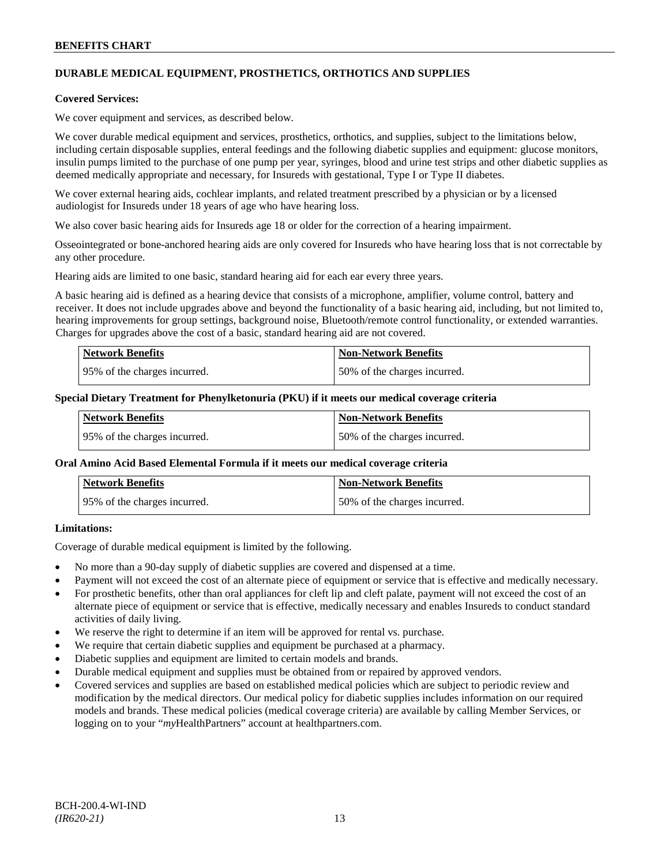# **DURABLE MEDICAL EQUIPMENT, PROSTHETICS, ORTHOTICS AND SUPPLIES**

### **Covered Services:**

We cover equipment and services, as described below.

We cover durable medical equipment and services, prosthetics, orthotics, and supplies, subject to the limitations below, including certain disposable supplies, enteral feedings and the following diabetic supplies and equipment: glucose monitors, insulin pumps limited to the purchase of one pump per year, syringes, blood and urine test strips and other diabetic supplies as deemed medically appropriate and necessary, for Insureds with gestational, Type I or Type II diabetes.

We cover external hearing aids, cochlear implants, and related treatment prescribed by a physician or by a licensed audiologist for Insureds under 18 years of age who have hearing loss.

We also cover basic hearing aids for Insureds age 18 or older for the correction of a hearing impairment.

Osseointegrated or bone-anchored hearing aids are only covered for Insureds who have hearing loss that is not correctable by any other procedure.

Hearing aids are limited to one basic, standard hearing aid for each ear every three years.

A basic hearing aid is defined as a hearing device that consists of a microphone, amplifier, volume control, battery and receiver. It does not include upgrades above and beyond the functionality of a basic hearing aid, including, but not limited to, hearing improvements for group settings, background noise, Bluetooth/remote control functionality, or extended warranties. Charges for upgrades above the cost of a basic, standard hearing aid are not covered.

| <b>Network Benefits</b>      | <b>Non-Network Benefits</b>  |
|------------------------------|------------------------------|
| 95% of the charges incurred. | 50% of the charges incurred. |

### **Special Dietary Treatment for Phenylketonuria (PKU) if it meets our medical coverage criteria**

| <b>Network Benefits</b>      | <b>Non-Network Benefits</b>  |
|------------------------------|------------------------------|
| 95% of the charges incurred. | 50% of the charges incurred. |

### **Oral Amino Acid Based Elemental Formula if it meets our medical coverage criteria**

| <b>Network Benefits</b>       | <b>Non-Network Benefits</b>  |
|-------------------------------|------------------------------|
| 195% of the charges incurred. | 50% of the charges incurred. |

# **Limitations:**

Coverage of durable medical equipment is limited by the following.

- No more than a 90-day supply of diabetic supplies are covered and dispensed at a time.
- Payment will not exceed the cost of an alternate piece of equipment or service that is effective and medically necessary.
- For prosthetic benefits, other than oral appliances for cleft lip and cleft palate, payment will not exceed the cost of an alternate piece of equipment or service that is effective, medically necessary and enables Insureds to conduct standard activities of daily living.
- We reserve the right to determine if an item will be approved for rental vs. purchase.
- We require that certain diabetic supplies and equipment be purchased at a pharmacy.
- Diabetic supplies and equipment are limited to certain models and brands.
- Durable medical equipment and supplies must be obtained from or repaired by approved vendors.
- Covered services and supplies are based on established medical policies which are subject to periodic review and modification by the medical directors. Our medical policy for diabetic supplies includes information on our required models and brands. These medical policies (medical coverage criteria) are available by calling Member Services, or logging on to your "*my*HealthPartners" account at [healthpartners.com.](http://www.healthpartners.com/)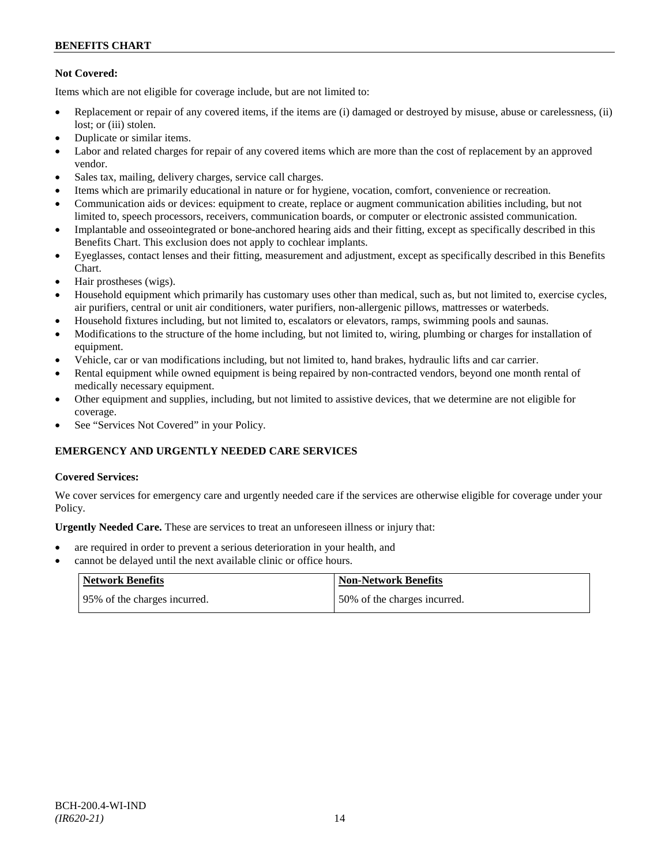# **Not Covered:**

Items which are not eligible for coverage include, but are not limited to:

- Replacement or repair of any covered items, if the items are (i) damaged or destroyed by misuse, abuse or carelessness, (ii) lost: or (iii) stolen.
- Duplicate or similar items.
- Labor and related charges for repair of any covered items which are more than the cost of replacement by an approved vendor.
- Sales tax, mailing, delivery charges, service call charges.
- Items which are primarily educational in nature or for hygiene, vocation, comfort, convenience or recreation.
- Communication aids or devices: equipment to create, replace or augment communication abilities including, but not limited to, speech processors, receivers, communication boards, or computer or electronic assisted communication.
- Implantable and osseointegrated or bone-anchored hearing aids and their fitting, except as specifically described in this Benefits Chart. This exclusion does not apply to cochlear implants.
- Eyeglasses, contact lenses and their fitting, measurement and adjustment, except as specifically described in this Benefits Chart.
- Hair prostheses (wigs).
- Household equipment which primarily has customary uses other than medical, such as, but not limited to, exercise cycles, air purifiers, central or unit air conditioners, water purifiers, non-allergenic pillows, mattresses or waterbeds.
- Household fixtures including, but not limited to, escalators or elevators, ramps, swimming pools and saunas.
- Modifications to the structure of the home including, but not limited to, wiring, plumbing or charges for installation of equipment.
- Vehicle, car or van modifications including, but not limited to, hand brakes, hydraulic lifts and car carrier.
- Rental equipment while owned equipment is being repaired by non-contracted vendors, beyond one month rental of medically necessary equipment.
- Other equipment and supplies, including, but not limited to assistive devices, that we determine are not eligible for coverage.
- See "Services Not Covered" in your Policy.

# **EMERGENCY AND URGENTLY NEEDED CARE SERVICES**

# **Covered Services:**

We cover services for emergency care and urgently needed care if the services are otherwise eligible for coverage under your Policy.

**Urgently Needed Care.** These are services to treat an unforeseen illness or injury that:

- are required in order to prevent a serious deterioration in your health, and
- cannot be delayed until the next available clinic or office hours.

| Network Benefits              | <b>Non-Network Benefits</b>  |
|-------------------------------|------------------------------|
| 195% of the charges incurred. | 50% of the charges incurred. |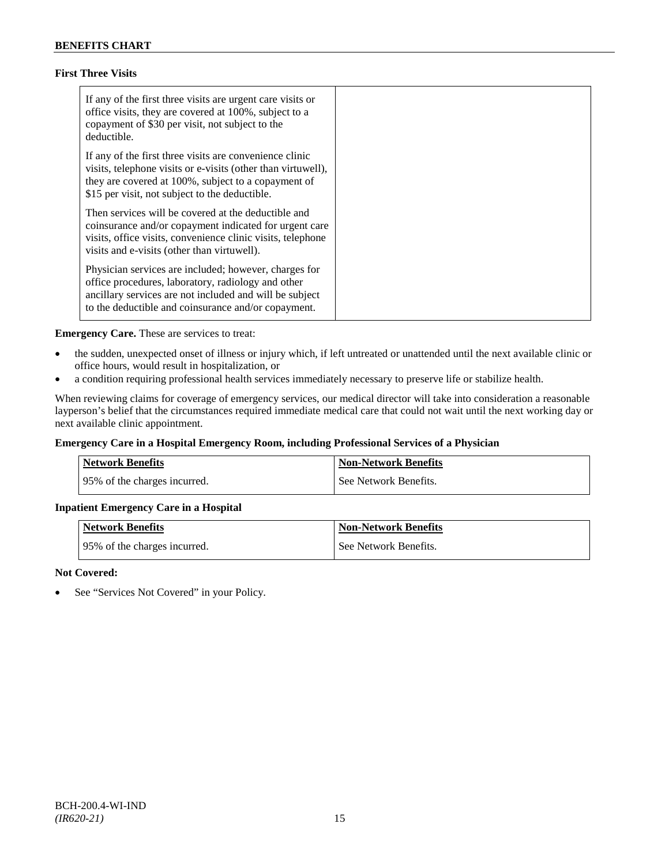# **First Three Visits**

| If any of the first three visits are urgent care visits or<br>office visits, they are covered at 100%, subject to a<br>copayment of \$30 per visit, not subject to the<br>deductible.                                            |
|----------------------------------------------------------------------------------------------------------------------------------------------------------------------------------------------------------------------------------|
| If any of the first three visits are convenience clinic<br>visits, telephone visits or e-visits (other than virtuwell),<br>they are covered at 100%, subject to a copayment of<br>\$15 per visit, not subject to the deductible. |
| Then services will be covered at the deductible and<br>coinsurance and/or copayment indicated for urgent care<br>visits, office visits, convenience clinic visits, telephone<br>visits and e-visits (other than virtuwell).      |
| Physician services are included; however, charges for<br>office procedures, laboratory, radiology and other<br>ancillary services are not included and will be subject<br>to the deductible and coinsurance and/or copayment.    |

**Emergency Care.** These are services to treat:

- the sudden, unexpected onset of illness or injury which, if left untreated or unattended until the next available clinic or office hours, would result in hospitalization, or
- a condition requiring professional health services immediately necessary to preserve life or stabilize health.

When reviewing claims for coverage of emergency services, our medical director will take into consideration a reasonable layperson's belief that the circumstances required immediate medical care that could not wait until the next working day or next available clinic appointment.

# **Emergency Care in a Hospital Emergency Room, including Professional Services of a Physician**

| Network Benefits             | <b>Non-Network Benefits</b> |
|------------------------------|-----------------------------|
| 95% of the charges incurred. | See Network Benefits.       |

# **Inpatient Emergency Care in a Hospital**

| <b>Network Benefits</b>      | Non-Network Benefits  |
|------------------------------|-----------------------|
| 95% of the charges incurred. | See Network Benefits. |

### **Not Covered:**

• See "Services Not Covered" in your Policy.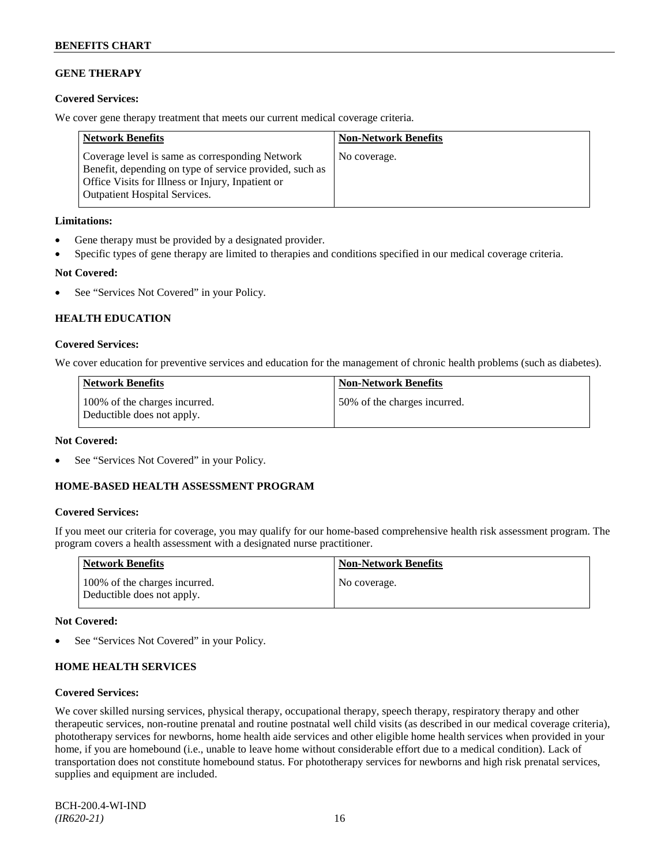# **GENE THERAPY**

# **Covered Services:**

We cover gene therapy treatment that meets our current medical coverage criteria.

| <b>Network Benefits</b>                                                                                                                                                                                 | <b>Non-Network Benefits</b> |
|---------------------------------------------------------------------------------------------------------------------------------------------------------------------------------------------------------|-----------------------------|
| Coverage level is same as corresponding Network<br>Benefit, depending on type of service provided, such as<br>Office Visits for Illness or Injury, Inpatient or<br><b>Outpatient Hospital Services.</b> | No coverage.                |

### **Limitations:**

- Gene therapy must be provided by a designated provider.
- Specific types of gene therapy are limited to therapies and conditions specified in our medical coverage criteria.

# **Not Covered:**

• See "Services Not Covered" in your Policy.

# **HEALTH EDUCATION**

### **Covered Services:**

We cover education for preventive services and education for the management of chronic health problems (such as diabetes).

| <b>Network Benefits</b>                                     | <b>Non-Network Benefits</b>  |
|-------------------------------------------------------------|------------------------------|
| 100% of the charges incurred.<br>Deductible does not apply. | 50% of the charges incurred. |

# **Not Covered:**

See "Services Not Covered" in your Policy.

# **HOME-BASED HEALTH ASSESSMENT PROGRAM**

# **Covered Services:**

If you meet our criteria for coverage, you may qualify for our home-based comprehensive health risk assessment program. The program covers a health assessment with a designated nurse practitioner.

| <b>Network Benefits</b>                                     | <b>Non-Network Benefits</b> |
|-------------------------------------------------------------|-----------------------------|
| 100% of the charges incurred.<br>Deductible does not apply. | No coverage.                |

# **Not Covered:**

See "Services Not Covered" in your Policy.

# **HOME HEALTH SERVICES**

### **Covered Services:**

We cover skilled nursing services, physical therapy, occupational therapy, speech therapy, respiratory therapy and other therapeutic services, non-routine prenatal and routine postnatal well child visits (as described in our medical coverage criteria), phototherapy services for newborns, home health aide services and other eligible home health services when provided in your home, if you are homebound (i.e., unable to leave home without considerable effort due to a medical condition). Lack of transportation does not constitute homebound status. For phototherapy services for newborns and high risk prenatal services, supplies and equipment are included.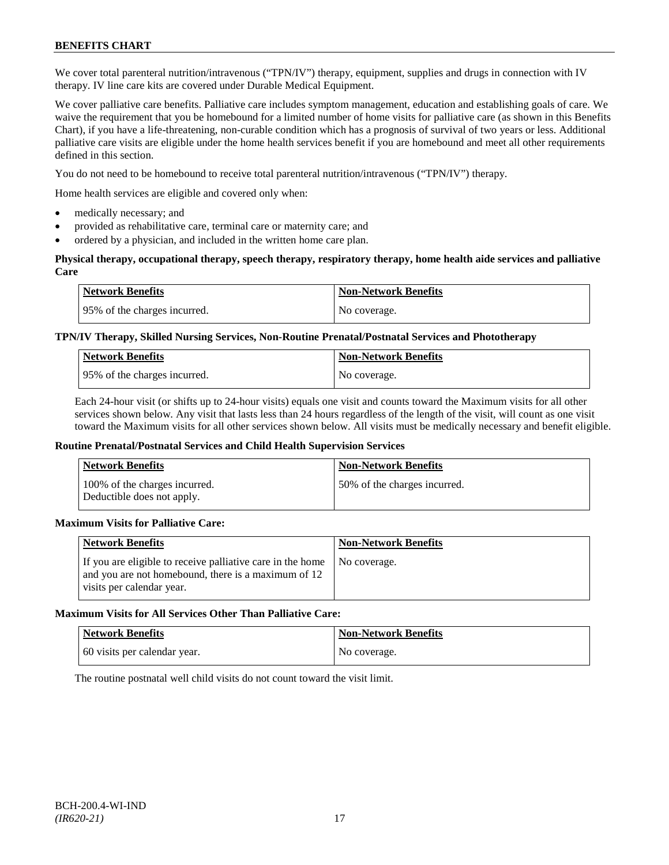We cover total parenteral nutrition/intravenous ("TPN/IV") therapy, equipment, supplies and drugs in connection with IV therapy. IV line care kits are covered under Durable Medical Equipment.

We cover palliative care benefits. Palliative care includes symptom management, education and establishing goals of care. We waive the requirement that you be homebound for a limited number of home visits for palliative care (as shown in this Benefits Chart), if you have a life-threatening, non-curable condition which has a prognosis of survival of two years or less. Additional palliative care visits are eligible under the home health services benefit if you are homebound and meet all other requirements defined in this section.

You do not need to be homebound to receive total parenteral nutrition/intravenous ("TPN/IV") therapy.

Home health services are eligible and covered only when:

- medically necessary; and
- provided as rehabilitative care, terminal care or maternity care; and
- ordered by a physician, and included in the written home care plan.

### **Physical therapy, occupational therapy, speech therapy, respiratory therapy, home health aide services and palliative Care**

| <b>Network Benefits</b>      | <b>Non-Network Benefits</b> |
|------------------------------|-----------------------------|
| 95% of the charges incurred. | No coverage.                |

# **TPN/IV Therapy, Skilled Nursing Services, Non-Routine Prenatal/Postnatal Services and Phototherapy**

| <b>Network Benefits</b>      | <b>Non-Network Benefits</b> |
|------------------------------|-----------------------------|
| 95% of the charges incurred. | No coverage.                |

Each 24-hour visit (or shifts up to 24-hour visits) equals one visit and counts toward the Maximum visits for all other services shown below. Any visit that lasts less than 24 hours regardless of the length of the visit, will count as one visit toward the Maximum visits for all other services shown below. All visits must be medically necessary and benefit eligible.

### **Routine Prenatal/Postnatal Services and Child Health Supervision Services**

| <b>Network Benefits</b>                                     | <b>Non-Network Benefits</b>  |
|-------------------------------------------------------------|------------------------------|
| 100% of the charges incurred.<br>Deductible does not apply. | 50% of the charges incurred. |

### **Maximum Visits for Palliative Care:**

| <b>Network Benefits</b>                                                                                                                        | <b>Non-Network Benefits</b> |
|------------------------------------------------------------------------------------------------------------------------------------------------|-----------------------------|
| If you are eligible to receive palliative care in the home<br>and you are not homebound, there is a maximum of 12<br>visits per calendar year. | No coverage.                |

# **Maximum Visits for All Services Other Than Palliative Care:**

| <b>Network Benefits</b>      | <b>Non-Network Benefits</b> |
|------------------------------|-----------------------------|
| 60 visits per calendar year. | No coverage.                |

The routine postnatal well child visits do not count toward the visit limit.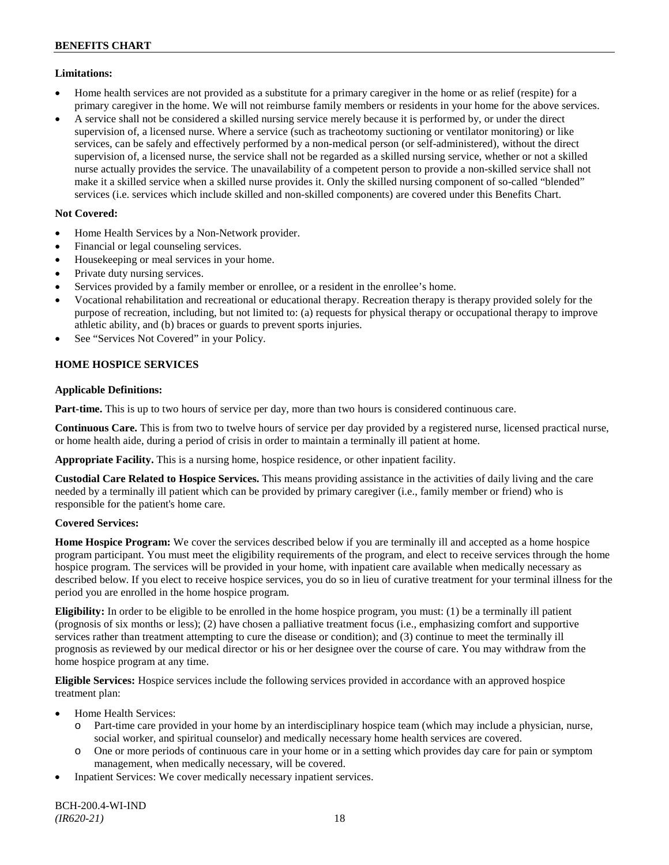# **Limitations:**

- Home health services are not provided as a substitute for a primary caregiver in the home or as relief (respite) for a primary caregiver in the home. We will not reimburse family members or residents in your home for the above services.
- A service shall not be considered a skilled nursing service merely because it is performed by, or under the direct supervision of, a licensed nurse. Where a service (such as tracheotomy suctioning or ventilator monitoring) or like services, can be safely and effectively performed by a non-medical person (or self-administered), without the direct supervision of, a licensed nurse, the service shall not be regarded as a skilled nursing service, whether or not a skilled nurse actually provides the service. The unavailability of a competent person to provide a non-skilled service shall not make it a skilled service when a skilled nurse provides it. Only the skilled nursing component of so-called "blended" services (i.e. services which include skilled and non-skilled components) are covered under this Benefits Chart.

# **Not Covered:**

- Home Health Services by a Non-Network provider.
- Financial or legal counseling services.
- Housekeeping or meal services in your home.
- Private duty nursing services.
- Services provided by a family member or enrollee, or a resident in the enrollee's home.
- Vocational rehabilitation and recreational or educational therapy. Recreation therapy is therapy provided solely for the purpose of recreation, including, but not limited to: (a) requests for physical therapy or occupational therapy to improve athletic ability, and (b) braces or guards to prevent sports injuries.
- See "Services Not Covered" in your Policy.

# **HOME HOSPICE SERVICES**

# **Applicable Definitions:**

**Part-time.** This is up to two hours of service per day, more than two hours is considered continuous care.

**Continuous Care.** This is from two to twelve hours of service per day provided by a registered nurse, licensed practical nurse, or home health aide, during a period of crisis in order to maintain a terminally ill patient at home.

**Appropriate Facility.** This is a nursing home, hospice residence, or other inpatient facility.

**Custodial Care Related to Hospice Services.** This means providing assistance in the activities of daily living and the care needed by a terminally ill patient which can be provided by primary caregiver (i.e., family member or friend) who is responsible for the patient's home care.

# **Covered Services:**

**Home Hospice Program:** We cover the services described below if you are terminally ill and accepted as a home hospice program participant. You must meet the eligibility requirements of the program, and elect to receive services through the home hospice program. The services will be provided in your home, with inpatient care available when medically necessary as described below. If you elect to receive hospice services, you do so in lieu of curative treatment for your terminal illness for the period you are enrolled in the home hospice program.

**Eligibility:** In order to be eligible to be enrolled in the home hospice program, you must: (1) be a terminally ill patient (prognosis of six months or less); (2) have chosen a palliative treatment focus (i.e., emphasizing comfort and supportive services rather than treatment attempting to cure the disease or condition); and (3) continue to meet the terminally ill prognosis as reviewed by our medical director or his or her designee over the course of care. You may withdraw from the home hospice program at any time.

**Eligible Services:** Hospice services include the following services provided in accordance with an approved hospice treatment plan:

- Home Health Services:
	- o Part-time care provided in your home by an interdisciplinary hospice team (which may include a physician, nurse, social worker, and spiritual counselor) and medically necessary home health services are covered.
	- o One or more periods of continuous care in your home or in a setting which provides day care for pain or symptom management, when medically necessary, will be covered.
- Inpatient Services: We cover medically necessary inpatient services.

BCH-200.4-WI-IND *(IR620-21)* 18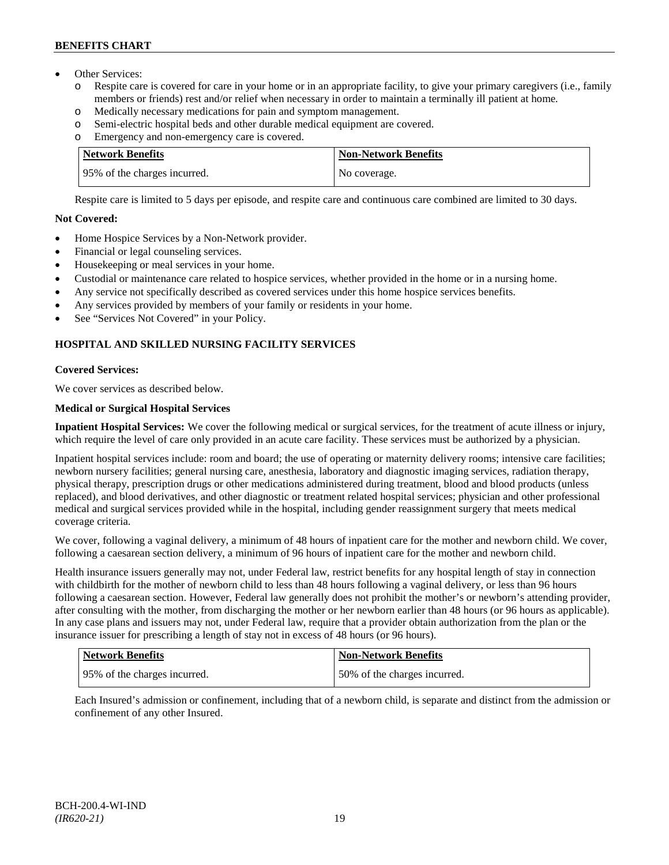- Other Services:
	- o Respite care is covered for care in your home or in an appropriate facility, to give your primary caregivers (i.e., family members or friends) rest and/or relief when necessary in order to maintain a terminally ill patient at home*.*
	- o Medically necessary medications for pain and symptom management.
	- o Semi-electric hospital beds and other durable medical equipment are covered.
	- o Emergency and non-emergency care is covered.

| <b>Network Benefits</b>      | <b>Non-Network Benefits</b> |
|------------------------------|-----------------------------|
| 95% of the charges incurred. | No coverage.                |

Respite care is limited to 5 days per episode, and respite care and continuous care combined are limited to 30 days.

# **Not Covered:**

- Home Hospice Services by a Non-Network provider.
- Financial or legal counseling services.
- Housekeeping or meal services in your home.
- Custodial or maintenance care related to hospice services, whether provided in the home or in a nursing home.
- Any service not specifically described as covered services under this home hospice services benefits.
- Any services provided by members of your family or residents in your home.
- See "Services Not Covered" in your Policy.

# **HOSPITAL AND SKILLED NURSING FACILITY SERVICES**

# **Covered Services:**

We cover services as described below.

# **Medical or Surgical Hospital Services**

**Inpatient Hospital Services:** We cover the following medical or surgical services, for the treatment of acute illness or injury, which require the level of care only provided in an acute care facility. These services must be authorized by a physician.

Inpatient hospital services include: room and board; the use of operating or maternity delivery rooms; intensive care facilities; newborn nursery facilities; general nursing care, anesthesia, laboratory and diagnostic imaging services, radiation therapy, physical therapy, prescription drugs or other medications administered during treatment, blood and blood products (unless replaced), and blood derivatives, and other diagnostic or treatment related hospital services; physician and other professional medical and surgical services provided while in the hospital, including gender reassignment surgery that meets medical coverage criteria.

We cover, following a vaginal delivery, a minimum of 48 hours of inpatient care for the mother and newborn child. We cover, following a caesarean section delivery, a minimum of 96 hours of inpatient care for the mother and newborn child.

Health insurance issuers generally may not, under Federal law, restrict benefits for any hospital length of stay in connection with childbirth for the mother of newborn child to less than 48 hours following a vaginal delivery, or less than 96 hours following a caesarean section. However, Federal law generally does not prohibit the mother's or newborn's attending provider, after consulting with the mother, from discharging the mother or her newborn earlier than 48 hours (or 96 hours as applicable). In any case plans and issuers may not, under Federal law, require that a provider obtain authorization from the plan or the insurance issuer for prescribing a length of stay not in excess of 48 hours (or 96 hours).

| Network Benefits              | <b>Non-Network Benefits</b>  |
|-------------------------------|------------------------------|
| 195% of the charges incurred. | 50% of the charges incurred. |

Each Insured's admission or confinement, including that of a newborn child, is separate and distinct from the admission or confinement of any other Insured.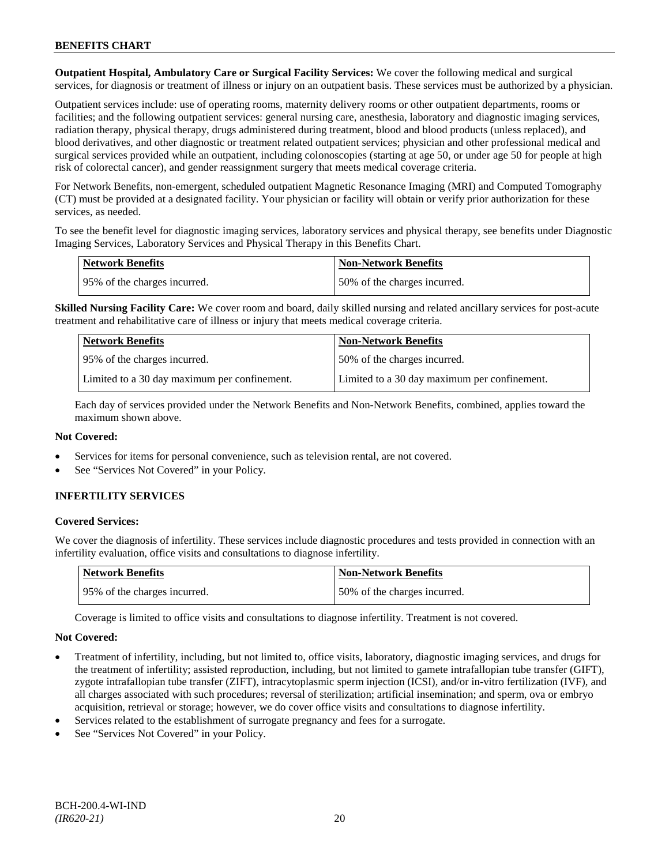**Outpatient Hospital, Ambulatory Care or Surgical Facility Services:** We cover the following medical and surgical services, for diagnosis or treatment of illness or injury on an outpatient basis. These services must be authorized by a physician.

Outpatient services include: use of operating rooms, maternity delivery rooms or other outpatient departments, rooms or facilities; and the following outpatient services: general nursing care, anesthesia, laboratory and diagnostic imaging services, radiation therapy, physical therapy, drugs administered during treatment, blood and blood products (unless replaced), and blood derivatives, and other diagnostic or treatment related outpatient services; physician and other professional medical and surgical services provided while an outpatient, including colonoscopies (starting at age 50, or under age 50 for people at high risk of colorectal cancer), and gender reassignment surgery that meets medical coverage criteria.

For Network Benefits, non-emergent, scheduled outpatient Magnetic Resonance Imaging (MRI) and Computed Tomography (CT) must be provided at a designated facility. Your physician or facility will obtain or verify prior authorization for these services, as needed.

To see the benefit level for diagnostic imaging services, laboratory services and physical therapy, see benefits under Diagnostic Imaging Services, Laboratory Services and Physical Therapy in this Benefits Chart.

| <b>Network Benefits</b>       | Non-Network Benefits         |
|-------------------------------|------------------------------|
| 195% of the charges incurred. | 50% of the charges incurred. |

**Skilled Nursing Facility Care:** We cover room and board, daily skilled nursing and related ancillary services for post-acute treatment and rehabilitative care of illness or injury that meets medical coverage criteria.

| <b>Network Benefits</b>                      | <b>Non-Network Benefits</b>                  |
|----------------------------------------------|----------------------------------------------|
| 95% of the charges incurred.                 | 50% of the charges incurred.                 |
| Limited to a 30 day maximum per confinement. | Limited to a 30 day maximum per confinement. |

Each day of services provided under the Network Benefits and Non-Network Benefits, combined, applies toward the maximum shown above.

# **Not Covered:**

- Services for items for personal convenience, such as television rental, are not covered.
- See "Services Not Covered" in your Policy.

# **INFERTILITY SERVICES**

# **Covered Services:**

We cover the diagnosis of infertility. These services include diagnostic procedures and tests provided in connection with an infertility evaluation, office visits and consultations to diagnose infertility.

| Network Benefits             | <b>Non-Network Benefits</b>  |
|------------------------------|------------------------------|
| 95% of the charges incurred. | 50% of the charges incurred. |

Coverage is limited to office visits and consultations to diagnose infertility. Treatment is not covered.

- Treatment of infertility, including, but not limited to, office visits, laboratory, diagnostic imaging services, and drugs for the treatment of infertility; assisted reproduction, including, but not limited to gamete intrafallopian tube transfer (GIFT), zygote intrafallopian tube transfer (ZIFT), intracytoplasmic sperm injection (ICSI), and/or in-vitro fertilization (IVF), and all charges associated with such procedures; reversal of sterilization; artificial insemination; and sperm, ova or embryo acquisition, retrieval or storage; however, we do cover office visits and consultations to diagnose infertility.
- Services related to the establishment of surrogate pregnancy and fees for a surrogate.
- See "Services Not Covered" in your Policy.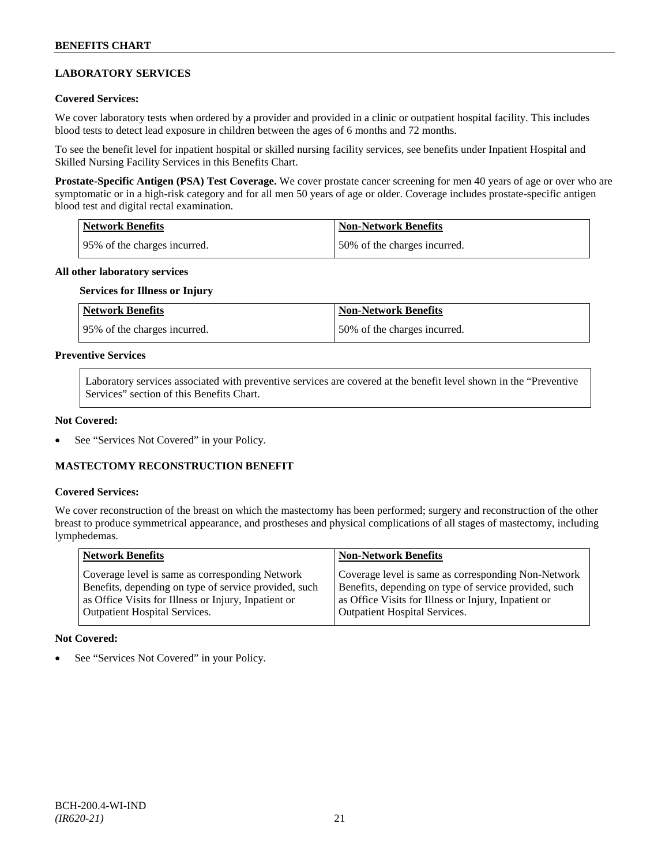# **LABORATORY SERVICES**

### **Covered Services:**

We cover laboratory tests when ordered by a provider and provided in a clinic or outpatient hospital facility. This includes blood tests to detect lead exposure in children between the ages of 6 months and 72 months.

To see the benefit level for inpatient hospital or skilled nursing facility services, see benefits under Inpatient Hospital and Skilled Nursing Facility Services in this Benefits Chart.

**Prostate-Specific Antigen (PSA) Test Coverage.** We cover prostate cancer screening for men 40 years of age or over who are symptomatic or in a high-risk category and for all men 50 years of age or older. Coverage includes prostate-specific antigen blood test and digital rectal examination.

| <b>Network Benefits</b>       | Non-Network Benefits         |
|-------------------------------|------------------------------|
| 195% of the charges incurred. | 50% of the charges incurred. |

### **All other laboratory services**

### **Services for Illness or Injury**

| <b>Network Benefits</b>      | <b>Non-Network Benefits</b>  |
|------------------------------|------------------------------|
| 95% of the charges incurred. | 50% of the charges incurred. |

### **Preventive Services**

Laboratory services associated with preventive services are covered at the benefit level shown in the "Preventive Services" section of this Benefits Chart.

### **Not Covered:**

See "Services Not Covered" in your Policy.

# **MASTECTOMY RECONSTRUCTION BENEFIT**

### **Covered Services:**

We cover reconstruction of the breast on which the mastectomy has been performed; surgery and reconstruction of the other breast to produce symmetrical appearance, and prostheses and physical complications of all stages of mastectomy, including lymphedemas.

| Coverage level is same as corresponding Non-Network<br>Coverage level is same as corresponding Network<br>Benefits, depending on type of service provided, such<br>Benefits, depending on type of service provided, such<br>as Office Visits for Illness or Injury, Inpatient or<br>as Office Visits for Illness or Injury, Inpatient or<br><b>Outpatient Hospital Services.</b><br><b>Outpatient Hospital Services.</b> |  |
|--------------------------------------------------------------------------------------------------------------------------------------------------------------------------------------------------------------------------------------------------------------------------------------------------------------------------------------------------------------------------------------------------------------------------|--|

### **Not Covered:**

See "Services Not Covered" in your Policy.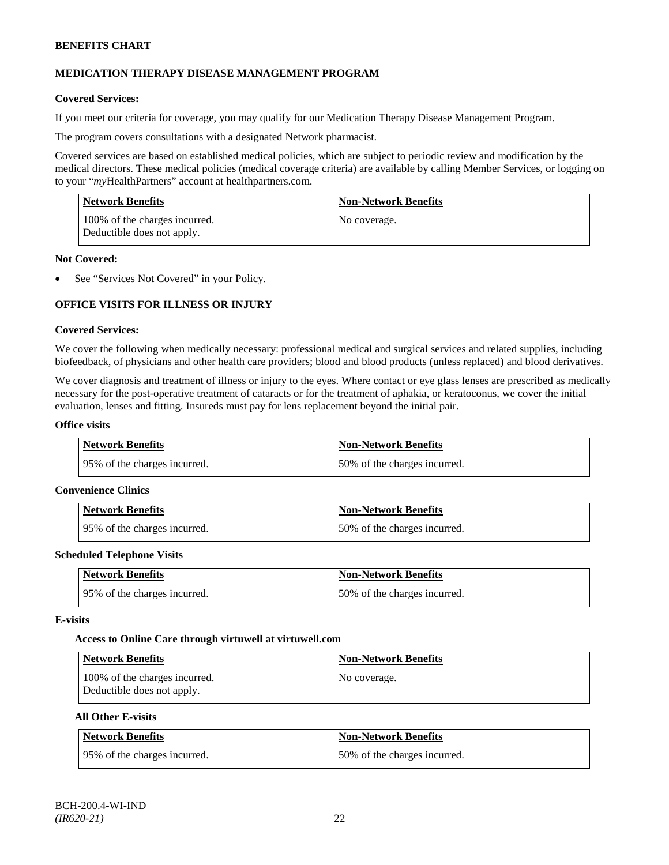# **MEDICATION THERAPY DISEASE MANAGEMENT PROGRAM**

### **Covered Services:**

If you meet our criteria for coverage, you may qualify for our Medication Therapy Disease Management Program.

The program covers consultations with a designated Network pharmacist.

Covered services are based on established medical policies, which are subject to periodic review and modification by the medical directors. These medical policies (medical coverage criteria) are available by calling Member Services, or logging on to your "*my*HealthPartners" account at [healthpartners.com.](http://www.healthpartners.com/)

| <b>Network Benefits</b>                                     | <b>Non-Network Benefits</b> |
|-------------------------------------------------------------|-----------------------------|
| 100% of the charges incurred.<br>Deductible does not apply. | No coverage.                |

### **Not Covered:**

See "Services Not Covered" in your Policy.

# **OFFICE VISITS FOR ILLNESS OR INJURY**

### **Covered Services:**

We cover the following when medically necessary: professional medical and surgical services and related supplies, including biofeedback, of physicians and other health care providers; blood and blood products (unless replaced) and blood derivatives.

We cover diagnosis and treatment of illness or injury to the eyes. Where contact or eye glass lenses are prescribed as medically necessary for the post-operative treatment of cataracts or for the treatment of aphakia, or keratoconus, we cover the initial evaluation, lenses and fitting. Insureds must pay for lens replacement beyond the initial pair.

### **Office visits**

| Network Benefits              | Non-Network Benefits         |
|-------------------------------|------------------------------|
| 195% of the charges incurred. | 50% of the charges incurred. |

### **Convenience Clinics**

| Network Benefits              | <b>Non-Network Benefits</b>  |
|-------------------------------|------------------------------|
| 195% of the charges incurred. | 50% of the charges incurred. |

### **Scheduled Telephone Visits**

| <b>Network Benefits</b>      | <b>Non-Network Benefits</b>  |
|------------------------------|------------------------------|
| 95% of the charges incurred. | 50% of the charges incurred. |

### **E-visits**

### **Access to Online Care through virtuwell a[t virtuwell.com](http://www.virtuwell.com/)**

| Network Benefits                                            | Non-Network Benefits |
|-------------------------------------------------------------|----------------------|
| 100% of the charges incurred.<br>Deductible does not apply. | No coverage.         |

# **All Other E-visits**

| Network Benefits             | Non-Network Benefits         |
|------------------------------|------------------------------|
| 95% of the charges incurred. | 50% of the charges incurred. |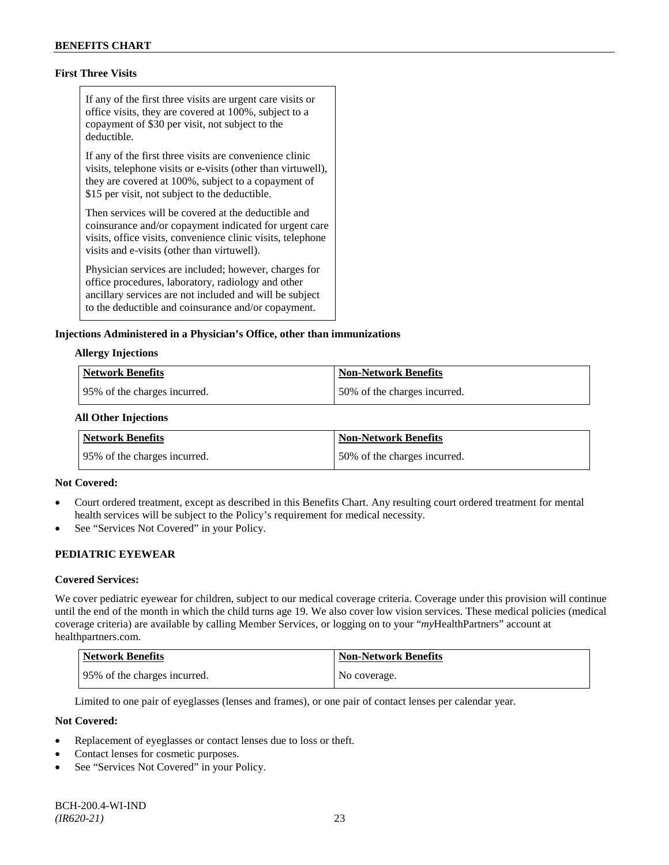# **First Three Visits**

If any of the first three visits are urgent care visits or office visits, they are covered at 100%, subject to a copayment of \$30 per visit, not subject to the deductible.

If any of the first three visits are convenience clinic visits, telephone visits or e-visits (other than virtuwell), they are covered at 100%, subject to a copayment of \$15 per visit, not subject to the deductible.

Then services will be covered at the deductible and coinsurance and/or copayment indicated for urgent care visits, office visits, convenience clinic visits, telephone visits and e-visits (other than virtuwell).

Physician services are included; however, charges for office procedures, laboratory, radiology and other ancillary services are not included and will be subject to the deductible and coinsurance and/or copayment.

### **Injections Administered in a Physician's Office, other than immunizations**

### **Allergy Injections**

| Network Benefits             | Non-Network Benefits         |
|------------------------------|------------------------------|
| 95% of the charges incurred. | 50% of the charges incurred. |

### **All Other Injections**

| Network Benefits              | <b>Non-Network Benefits</b>  |
|-------------------------------|------------------------------|
| 195% of the charges incurred. | 50% of the charges incurred. |

### **Not Covered:**

- Court ordered treatment, except as described in this Benefits Chart. Any resulting court ordered treatment for mental health services will be subject to the Policy's requirement for medical necessity.
- See "Services Not Covered" in your Policy.

# **PEDIATRIC EYEWEAR**

### **Covered Services:**

We cover pediatric eyewear for children, subject to our medical coverage criteria. Coverage under this provision will continue until the end of the month in which the child turns age 19. We also cover low vision services. These medical policies (medical coverage criteria) are available by calling Member Services, or logging on to your "*my*HealthPartners" account at [healthpartners.com.](http://www.healthpartners.com/)

| Network Benefits             | <b>Non-Network Benefits</b> |
|------------------------------|-----------------------------|
| 95% of the charges incurred. | No coverage.                |

Limited to one pair of eyeglasses (lenses and frames), or one pair of contact lenses per calendar year.

- Replacement of eyeglasses or contact lenses due to loss or theft.
- Contact lenses for cosmetic purposes.
- See "Services Not Covered" in your Policy.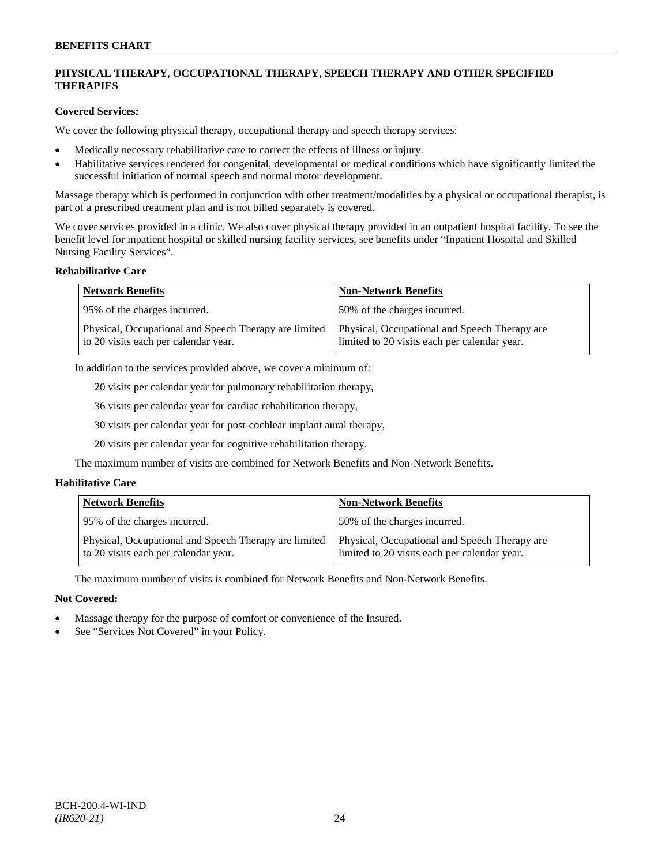# **PHYSICAL THERAPY, OCCUPATIONAL THERAPY, SPEECH THERAPY AND OTHER SPECIFIED THERAPIES**

# **Covered Services:**

We cover the following physical therapy, occupational therapy and speech therapy services:

- Medically necessary rehabilitative care to correct the effects of illness or injury.
- Habilitative services rendered for congenital, developmental or medical conditions which have significantly limited the successful initiation of normal speech and normal motor development.

Massage therapy which is performed in conjunction with other treatment/modalities by a physical or occupational therapist, is part of a prescribed treatment plan and is not billed separately is covered.

We cover services provided in a clinic. We also cover physical therapy provided in an outpatient hospital facility. To see the benefit level for inpatient hospital or skilled nursing facility services, see benefits under "Inpatient Hospital and Skilled Nursing Facility Services".

### **Rehabilitative Care**

| <b>Network Benefits</b>                                                                       | <b>Non-Network Benefits</b>                                                                   |
|-----------------------------------------------------------------------------------------------|-----------------------------------------------------------------------------------------------|
| 95% of the charges incurred.                                                                  | 50% of the charges incurred.                                                                  |
| Physical, Occupational and Speech Therapy are limited<br>to 20 visits each per calendar year. | Physical, Occupational and Speech Therapy are<br>limited to 20 visits each per calendar year. |

In addition to the services provided above, we cover a minimum of:

20 visits per calendar year for pulmonary rehabilitation therapy,

36 visits per calendar year for cardiac rehabilitation therapy,

30 visits per calendar year for post-cochlear implant aural therapy,

20 visits per calendar year for cognitive rehabilitation therapy.

The maximum number of visits are combined for Network Benefits and Non-Network Benefits.

# **Habilitative Care**

| <b>Network Benefits</b>                                                                       | <b>Non-Network Benefits</b>                                                                   |
|-----------------------------------------------------------------------------------------------|-----------------------------------------------------------------------------------------------|
| 95% of the charges incurred.                                                                  | 150% of the charges incurred.                                                                 |
| Physical, Occupational and Speech Therapy are limited<br>to 20 visits each per calendar year. | Physical, Occupational and Speech Therapy are<br>limited to 20 visits each per calendar year. |

The maximum number of visits is combined for Network Benefits and Non-Network Benefits.

- Massage therapy for the purpose of comfort or convenience of the Insured.
- See "Services Not Covered" in your Policy.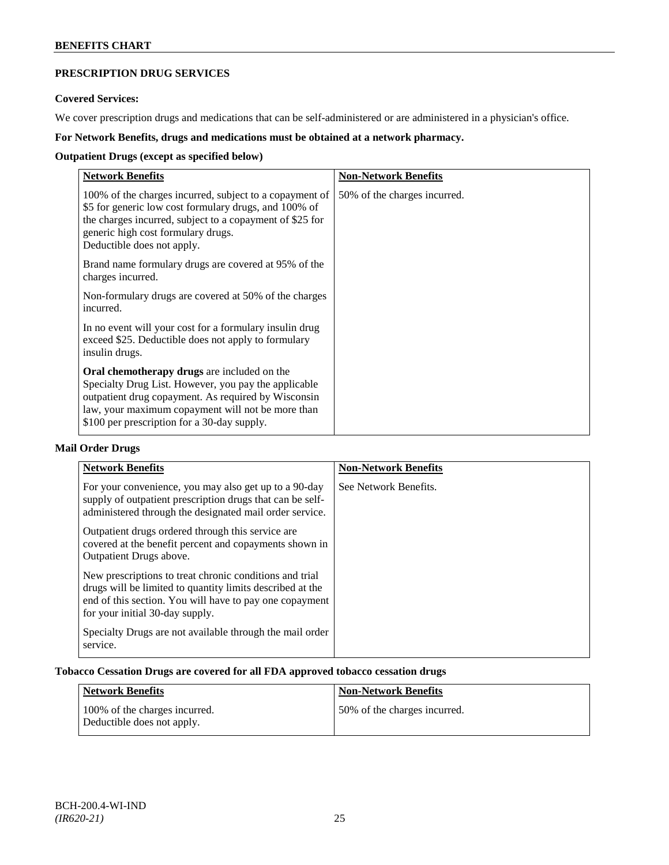# **PRESCRIPTION DRUG SERVICES**

# **Covered Services:**

We cover prescription drugs and medications that can be self-administered or are administered in a physician's office.

# **For Network Benefits, drugs and medications must be obtained at a network pharmacy.**

# **Outpatient Drugs (except as specified below)**

| <b>Network Benefits</b>                                                                                                                                                                                                                                               | <b>Non-Network Benefits</b>  |
|-----------------------------------------------------------------------------------------------------------------------------------------------------------------------------------------------------------------------------------------------------------------------|------------------------------|
| 100% of the charges incurred, subject to a copayment of<br>\$5 for generic low cost formulary drugs, and 100% of<br>the charges incurred, subject to a copayment of \$25 for<br>generic high cost formulary drugs.<br>Deductible does not apply.                      | 50% of the charges incurred. |
| Brand name formulary drugs are covered at 95% of the<br>charges incurred.                                                                                                                                                                                             |                              |
| Non-formulary drugs are covered at 50% of the charges<br>incurred.                                                                                                                                                                                                    |                              |
| In no event will your cost for a formulary insulin drug<br>exceed \$25. Deductible does not apply to formulary<br>insulin drugs.                                                                                                                                      |                              |
| <b>Oral chemotherapy drugs</b> are included on the<br>Specialty Drug List. However, you pay the applicable<br>outpatient drug copayment. As required by Wisconsin<br>law, your maximum copayment will not be more than<br>\$100 per prescription for a 30-day supply. |                              |

# **Mail Order Drugs**

| <b>Network Benefits</b>                                                                                                                                                                                            | <b>Non-Network Benefits</b> |
|--------------------------------------------------------------------------------------------------------------------------------------------------------------------------------------------------------------------|-----------------------------|
| For your convenience, you may also get up to a 90-day<br>supply of outpatient prescription drugs that can be self-<br>administered through the designated mail order service.                                      | See Network Benefits.       |
| Outpatient drugs ordered through this service are.<br>covered at the benefit percent and copayments shown in<br>Outpatient Drugs above.                                                                            |                             |
| New prescriptions to treat chronic conditions and trial<br>drugs will be limited to quantity limits described at the<br>end of this section. You will have to pay one copayment<br>for your initial 30-day supply. |                             |
| Specialty Drugs are not available through the mail order<br>service.                                                                                                                                               |                             |

# **Tobacco Cessation Drugs are covered for all FDA approved tobacco cessation drugs**

| Network Benefits                                            | <b>Non-Network Benefits</b>  |
|-------------------------------------------------------------|------------------------------|
| 100% of the charges incurred.<br>Deductible does not apply. | 50% of the charges incurred. |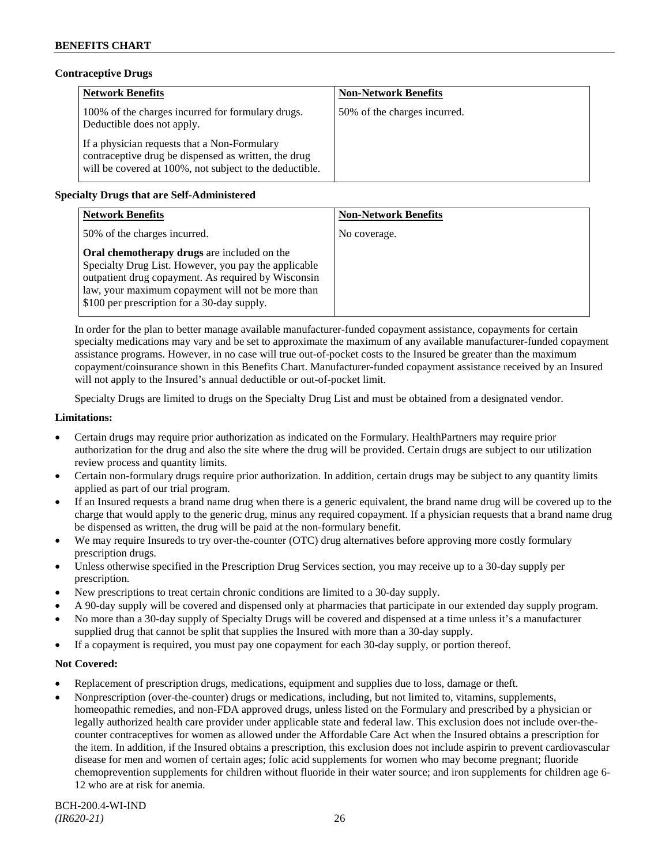# **Contraceptive Drugs**

| <b>Network Benefits</b>                                                                                                                                         | <b>Non-Network Benefits</b>  |
|-----------------------------------------------------------------------------------------------------------------------------------------------------------------|------------------------------|
| 100% of the charges incurred for formulary drugs.<br>Deductible does not apply.                                                                                 | 50% of the charges incurred. |
| If a physician requests that a Non-Formulary<br>contraceptive drug be dispensed as written, the drug<br>will be covered at 100%, not subject to the deductible. |                              |

# **Specialty Drugs that are Self-Administered**

| <b>Network Benefits</b>                                                                                                                                                                                                                                        | <b>Non-Network Benefits</b> |
|----------------------------------------------------------------------------------------------------------------------------------------------------------------------------------------------------------------------------------------------------------------|-----------------------------|
| 50% of the charges incurred.                                                                                                                                                                                                                                   | No coverage.                |
| Oral chemotherapy drugs are included on the<br>Specialty Drug List. However, you pay the applicable<br>outpatient drug copayment. As required by Wisconsin<br>law, your maximum copayment will not be more than<br>\$100 per prescription for a 30-day supply. |                             |

In order for the plan to better manage available manufacturer-funded copayment assistance, copayments for certain specialty medications may vary and be set to approximate the maximum of any available manufacturer-funded copayment assistance programs. However, in no case will true out-of-pocket costs to the Insured be greater than the maximum copayment/coinsurance shown in this Benefits Chart. Manufacturer-funded copayment assistance received by an Insured will not apply to the Insured's annual deductible or out-of-pocket limit.

Specialty Drugs are limited to drugs on the Specialty Drug List and must be obtained from a designated vendor.

### **Limitations:**

- Certain drugs may require prior authorization as indicated on the Formulary. HealthPartners may require prior authorization for the drug and also the site where the drug will be provided. Certain drugs are subject to our utilization review process and quantity limits.
- Certain non-formulary drugs require prior authorization. In addition, certain drugs may be subject to any quantity limits applied as part of our trial program.
- If an Insured requests a brand name drug when there is a generic equivalent, the brand name drug will be covered up to the charge that would apply to the generic drug, minus any required copayment. If a physician requests that a brand name drug be dispensed as written, the drug will be paid at the non-formulary benefit.
- We may require Insureds to try over-the-counter (OTC) drug alternatives before approving more costly formulary prescription drugs.
- Unless otherwise specified in the Prescription Drug Services section, you may receive up to a 30-day supply per prescription.
- New prescriptions to treat certain chronic conditions are limited to a 30-day supply.
- A 90-day supply will be covered and dispensed only at pharmacies that participate in our extended day supply program.
- No more than a 30-day supply of Specialty Drugs will be covered and dispensed at a time unless it's a manufacturer supplied drug that cannot be split that supplies the Insured with more than a 30-day supply.
- If a copayment is required, you must pay one copayment for each 30-day supply, or portion thereof.

- Replacement of prescription drugs, medications, equipment and supplies due to loss, damage or theft.
- Nonprescription (over-the-counter) drugs or medications, including, but not limited to, vitamins, supplements, homeopathic remedies, and non-FDA approved drugs, unless listed on the Formulary and prescribed by a physician or legally authorized health care provider under applicable state and federal law. This exclusion does not include over-thecounter contraceptives for women as allowed under the Affordable Care Act when the Insured obtains a prescription for the item. In addition, if the Insured obtains a prescription, this exclusion does not include aspirin to prevent cardiovascular disease for men and women of certain ages; folic acid supplements for women who may become pregnant; fluoride chemoprevention supplements for children without fluoride in their water source; and iron supplements for children age 6- 12 who are at risk for anemia.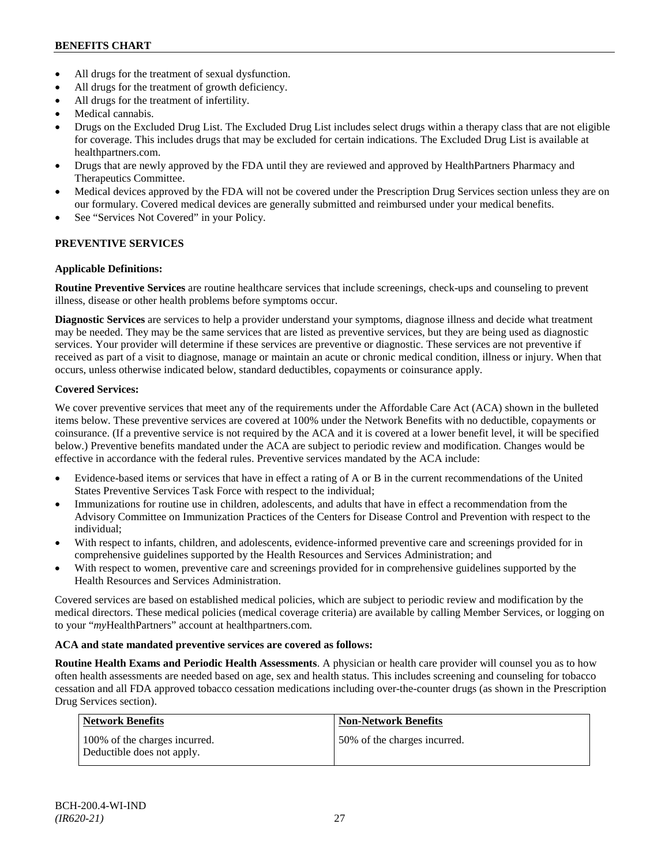- All drugs for the treatment of sexual dysfunction.
- All drugs for the treatment of growth deficiency.
- All drugs for the treatment of infertility.
- Medical cannabis.
- Drugs on the Excluded Drug List. The Excluded Drug List includes select drugs within a therapy class that are not eligible for coverage. This includes drugs that may be excluded for certain indications. The Excluded Drug List is available at [healthpartners.com.](http://www.healthpartners.com/)
- Drugs that are newly approved by the FDA until they are reviewed and approved by HealthPartners Pharmacy and Therapeutics Committee.
- Medical devices approved by the FDA will not be covered under the Prescription Drug Services section unless they are on our formulary. Covered medical devices are generally submitted and reimbursed under your medical benefits.
- See "Services Not Covered" in your Policy.

# **PREVENTIVE SERVICES**

### **Applicable Definitions:**

**Routine Preventive Services** are routine healthcare services that include screenings, check-ups and counseling to prevent illness, disease or other health problems before symptoms occur.

**Diagnostic Services** are services to help a provider understand your symptoms, diagnose illness and decide what treatment may be needed. They may be the same services that are listed as preventive services, but they are being used as diagnostic services. Your provider will determine if these services are preventive or diagnostic. These services are not preventive if received as part of a visit to diagnose, manage or maintain an acute or chronic medical condition, illness or injury. When that occurs, unless otherwise indicated below, standard deductibles, copayments or coinsurance apply.

### **Covered Services:**

We cover preventive services that meet any of the requirements under the Affordable Care Act (ACA) shown in the bulleted items below. These preventive services are covered at 100% under the Network Benefits with no deductible, copayments or coinsurance. (If a preventive service is not required by the ACA and it is covered at a lower benefit level, it will be specified below.) Preventive benefits mandated under the ACA are subject to periodic review and modification. Changes would be effective in accordance with the federal rules. Preventive services mandated by the ACA include:

- Evidence-based items or services that have in effect a rating of A or B in the current recommendations of the United States Preventive Services Task Force with respect to the individual;
- Immunizations for routine use in children, adolescents, and adults that have in effect a recommendation from the Advisory Committee on Immunization Practices of the Centers for Disease Control and Prevention with respect to the individual;
- With respect to infants, children, and adolescents, evidence-informed preventive care and screenings provided for in comprehensive guidelines supported by the Health Resources and Services Administration; and
- With respect to women, preventive care and screenings provided for in comprehensive guidelines supported by the Health Resources and Services Administration.

Covered services are based on established medical policies, which are subject to periodic review and modification by the medical directors. These medical policies (medical coverage criteria) are available by calling Member Services, or logging on to your "*my*HealthPartners" account at [healthpartners.com.](http://www.healthpartners.com/)

# **ACA and state mandated preventive services are covered as follows:**

**Routine Health Exams and Periodic Health Assessments**. A physician or health care provider will counsel you as to how often health assessments are needed based on age, sex and health status. This includes screening and counseling for tobacco cessation and all FDA approved tobacco cessation medications including over-the-counter drugs (as shown in the Prescription Drug Services section).

| Network Benefits                                            | <b>Non-Network Benefits</b>  |
|-------------------------------------------------------------|------------------------------|
| 100% of the charges incurred.<br>Deductible does not apply. | 50% of the charges incurred. |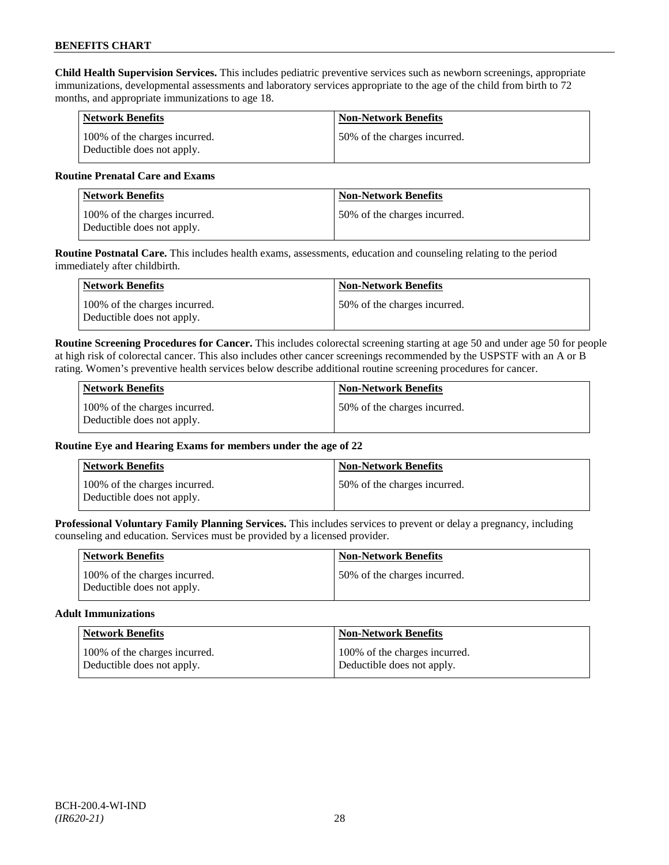**Child Health Supervision Services.** This includes pediatric preventive services such as newborn screenings, appropriate immunizations, developmental assessments and laboratory services appropriate to the age of the child from birth to 72 months, and appropriate immunizations to age 18.

| <b>Network Benefits</b>                                     | <b>Non-Network Benefits</b>  |
|-------------------------------------------------------------|------------------------------|
| 100% of the charges incurred.<br>Deductible does not apply. | 50% of the charges incurred. |

### **Routine Prenatal Care and Exams**

| <b>Network Benefits</b>                                     | <b>Non-Network Benefits</b>   |
|-------------------------------------------------------------|-------------------------------|
| 100% of the charges incurred.<br>Deductible does not apply. | 150% of the charges incurred. |

**Routine Postnatal Care.** This includes health exams, assessments, education and counseling relating to the period immediately after childbirth.

| Network Benefits                                            | <b>Non-Network Benefits</b>  |
|-------------------------------------------------------------|------------------------------|
| 100% of the charges incurred.<br>Deductible does not apply. | 50% of the charges incurred. |

**Routine Screening Procedures for Cancer.** This includes colorectal screening starting at age 50 and under age 50 for people at high risk of colorectal cancer. This also includes other cancer screenings recommended by the USPSTF with an A or B rating. Women's preventive health services below describe additional routine screening procedures for cancer.

| Network Benefits                                            | <b>Non-Network Benefits</b>  |
|-------------------------------------------------------------|------------------------------|
| 100% of the charges incurred.<br>Deductible does not apply. | 50% of the charges incurred. |

# **Routine Eye and Hearing Exams for members under the age of 22**

| <b>Network Benefits</b>                                     | <b>Non-Network Benefits</b>  |
|-------------------------------------------------------------|------------------------------|
| 100% of the charges incurred.<br>Deductible does not apply. | 50% of the charges incurred. |

**Professional Voluntary Family Planning Services.** This includes services to prevent or delay a pregnancy, including counseling and education. Services must be provided by a licensed provider.

| <b>Network Benefits</b>                                     | <b>Non-Network Benefits</b>   |
|-------------------------------------------------------------|-------------------------------|
| 100% of the charges incurred.<br>Deductible does not apply. | 150% of the charges incurred. |

### **Adult Immunizations**

| <b>Network Benefits</b>       | <b>Non-Network Benefits</b>   |
|-------------------------------|-------------------------------|
| 100% of the charges incurred. | 100% of the charges incurred. |
| Deductible does not apply.    | Deductible does not apply.    |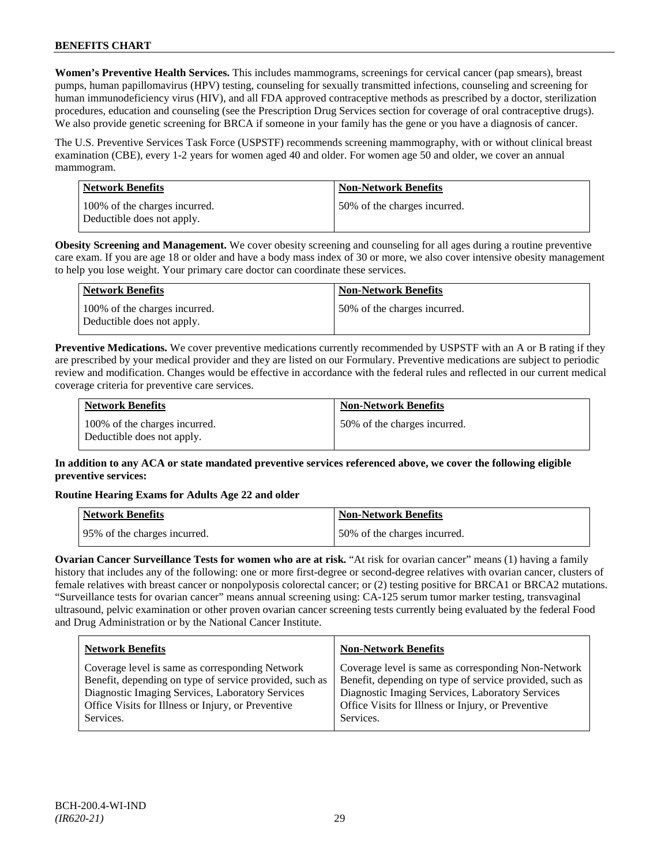**Women's Preventive Health Services.** This includes mammograms, screenings for cervical cancer (pap smears), breast pumps, human papillomavirus (HPV) testing, counseling for sexually transmitted infections, counseling and screening for human immunodeficiency virus (HIV), and all FDA approved contraceptive methods as prescribed by a doctor, sterilization procedures, education and counseling (see the Prescription Drug Services section for coverage of oral contraceptive drugs). We also provide genetic screening for BRCA if someone in your family has the gene or you have a diagnosis of cancer.

The U.S. Preventive Services Task Force (USPSTF) recommends screening mammography, with or without clinical breast examination (CBE), every 1-2 years for women aged 40 and older. For women age 50 and older, we cover an annual mammogram.

| <b>Network Benefits</b>                                     | <b>Non-Network Benefits</b>  |
|-------------------------------------------------------------|------------------------------|
| 100% of the charges incurred.<br>Deductible does not apply. | 50% of the charges incurred. |

**Obesity Screening and Management.** We cover obesity screening and counseling for all ages during a routine preventive care exam. If you are age 18 or older and have a body mass index of 30 or more, we also cover intensive obesity management to help you lose weight. Your primary care doctor can coordinate these services.

| <b>Network Benefits</b>                                     | <b>Non-Network Benefits</b>  |
|-------------------------------------------------------------|------------------------------|
| 100% of the charges incurred.<br>Deductible does not apply. | 50% of the charges incurred. |

**Preventive Medications.** We cover preventive medications currently recommended by USPSTF with an A or B rating if they are prescribed by your medical provider and they are listed on our Formulary. Preventive medications are subject to periodic review and modification. Changes would be effective in accordance with the federal rules and reflected in our current medical coverage criteria for preventive care services.

| <b>Network Benefits</b>                                     | <b>Non-Network Benefits</b>  |
|-------------------------------------------------------------|------------------------------|
| 100% of the charges incurred.<br>Deductible does not apply. | 50% of the charges incurred. |

# **In addition to any ACA or state mandated preventive services referenced above, we cover the following eligible preventive services:**

# **Routine Hearing Exams for Adults Age 22 and older**

| Network Benefits              | <b>Non-Network Benefits</b>  |
|-------------------------------|------------------------------|
| 195% of the charges incurred. | 50% of the charges incurred. |

**Ovarian Cancer Surveillance Tests for women who are at risk.** "At risk for ovarian cancer" means (1) having a family history that includes any of the following: one or more first-degree or second-degree relatives with ovarian cancer, clusters of female relatives with breast cancer or nonpolyposis colorectal cancer; or (2) testing positive for BRCA1 or BRCA2 mutations. "Surveillance tests for ovarian cancer" means annual screening using: CA-125 serum tumor marker testing, transvaginal ultrasound, pelvic examination or other proven ovarian cancer screening tests currently being evaluated by the federal Food and Drug Administration or by the National Cancer Institute.

| <b>Network Benefits</b>                                 | <b>Non-Network Benefits</b>                             |
|---------------------------------------------------------|---------------------------------------------------------|
| Coverage level is same as corresponding Network         | Coverage level is same as corresponding Non-Network     |
| Benefit, depending on type of service provided, such as | Benefit, depending on type of service provided, such as |
| Diagnostic Imaging Services, Laboratory Services        | Diagnostic Imaging Services, Laboratory Services        |
| Office Visits for Illness or Injury, or Preventive      | Office Visits for Illness or Injury, or Preventive      |
| Services.                                               | Services.                                               |
|                                                         |                                                         |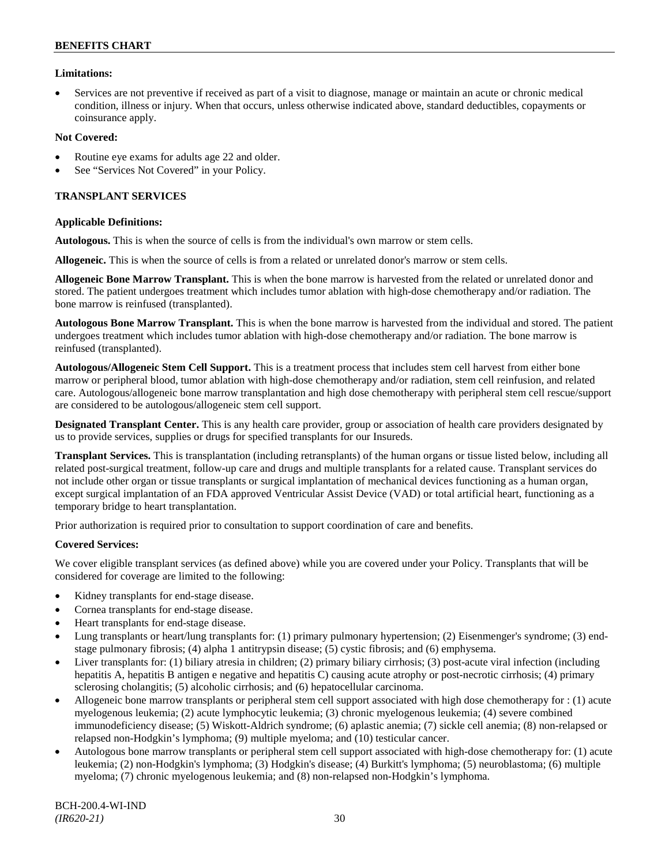# **Limitations:**

• Services are not preventive if received as part of a visit to diagnose, manage or maintain an acute or chronic medical condition, illness or injury. When that occurs, unless otherwise indicated above, standard deductibles, copayments or coinsurance apply.

### **Not Covered:**

- Routine eye exams for adults age 22 and older.
- See "Services Not Covered" in your Policy.

### **TRANSPLANT SERVICES**

### **Applicable Definitions:**

**Autologous.** This is when the source of cells is from the individual's own marrow or stem cells.

**Allogeneic.** This is when the source of cells is from a related or unrelated donor's marrow or stem cells.

**Allogeneic Bone Marrow Transplant.** This is when the bone marrow is harvested from the related or unrelated donor and stored. The patient undergoes treatment which includes tumor ablation with high-dose chemotherapy and/or radiation. The bone marrow is reinfused (transplanted).

**Autologous Bone Marrow Transplant.** This is when the bone marrow is harvested from the individual and stored. The patient undergoes treatment which includes tumor ablation with high-dose chemotherapy and/or radiation. The bone marrow is reinfused (transplanted).

**Autologous/Allogeneic Stem Cell Support.** This is a treatment process that includes stem cell harvest from either bone marrow or peripheral blood, tumor ablation with high-dose chemotherapy and/or radiation, stem cell reinfusion, and related care. Autologous/allogeneic bone marrow transplantation and high dose chemotherapy with peripheral stem cell rescue/support are considered to be autologous/allogeneic stem cell support.

**Designated Transplant Center.** This is any health care provider, group or association of health care providers designated by us to provide services, supplies or drugs for specified transplants for our Insureds.

**Transplant Services.** This is transplantation (including retransplants) of the human organs or tissue listed below, including all related post-surgical treatment, follow-up care and drugs and multiple transplants for a related cause. Transplant services do not include other organ or tissue transplants or surgical implantation of mechanical devices functioning as a human organ, except surgical implantation of an FDA approved Ventricular Assist Device (VAD) or total artificial heart, functioning as a temporary bridge to heart transplantation.

Prior authorization is required prior to consultation to support coordination of care and benefits.

# **Covered Services:**

We cover eligible transplant services (as defined above) while you are covered under your Policy. Transplants that will be considered for coverage are limited to the following:

- Kidney transplants for end-stage disease.
- Cornea transplants for end-stage disease.
- Heart transplants for end-stage disease.
- Lung transplants or heart/lung transplants for: (1) primary pulmonary hypertension; (2) Eisenmenger's syndrome; (3) endstage pulmonary fibrosis; (4) alpha 1 antitrypsin disease; (5) cystic fibrosis; and (6) emphysema.
- Liver transplants for: (1) biliary atresia in children; (2) primary biliary cirrhosis; (3) post-acute viral infection (including hepatitis A, hepatitis B antigen e negative and hepatitis C) causing acute atrophy or post-necrotic cirrhosis; (4) primary sclerosing cholangitis; (5) alcoholic cirrhosis; and (6) hepatocellular carcinoma.
- Allogeneic bone marrow transplants or peripheral stem cell support associated with high dose chemotherapy for : (1) acute myelogenous leukemia; (2) acute lymphocytic leukemia; (3) chronic myelogenous leukemia; (4) severe combined immunodeficiency disease; (5) Wiskott-Aldrich syndrome; (6) aplastic anemia; (7) sickle cell anemia; (8) non-relapsed or relapsed non-Hodgkin's lymphoma; (9) multiple myeloma; and (10) testicular cancer.
- Autologous bone marrow transplants or peripheral stem cell support associated with high-dose chemotherapy for: (1) acute leukemia; (2) non-Hodgkin's lymphoma; (3) Hodgkin's disease; (4) Burkitt's lymphoma; (5) neuroblastoma; (6) multiple myeloma; (7) chronic myelogenous leukemia; and (8) non-relapsed non-Hodgkin's lymphoma.